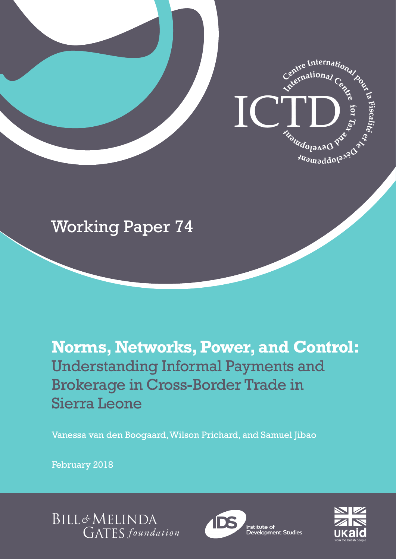

# Working Paper 74

**Norms, Networks, Power, and Control:** Understanding Informal Payments and Brokerage in Cross-Border Trade in Sierra Leone

Vanessa van den Boogaard, Wilson Prichard, and Samuel Jibao

February 2018





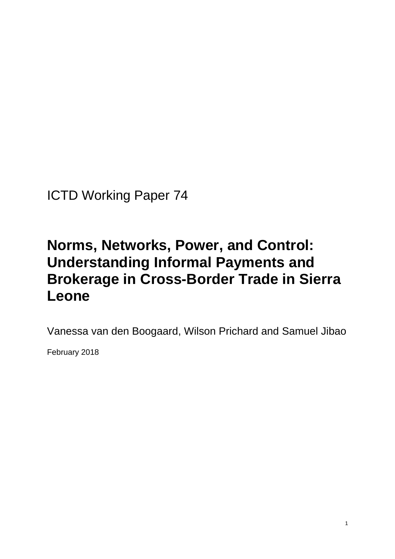ICTD Working Paper 74

### **Norms, Networks, Power, and Control: Understanding Informal Payments and Brokerage in Cross-Border Trade in Sierra Leone**

Vanessa van den Boogaard, Wilson Prichard and Samuel Jibao

February 2018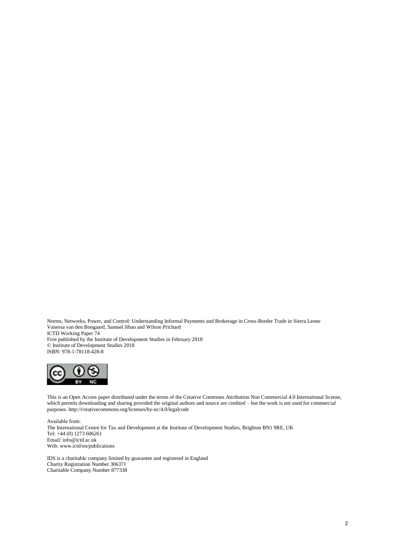Norms, Networks, Power, and Control: Understanding Informal Payments and Brokerage in Cross-Border Trade in Sierra Leone Vanessa van den Boogaard, Samuel Jibao and Wilson Prichard ICTD Working Paper 74 First published by the Institute of Development Studies in February 2018

© Institute of Development Studies 2018 ISBN: 978-1-78118-428-8



This is an Open Access paper distributed under the terms of the Creative Commons Attribution Non Commercial 4.0 International license, which permits downloading and sharing provided the original authors and source are credited – but the work is not used for commercial purposes. http://creativecommons.org/licenses/by-nc/4.0/legalcode

Available from: The International Centre for Tax and Development at the Institute of Development Studies, Brighton BN1 9RE, UK Tel: +44 (0) 1273 606261 Email: info@ictd.ac.uk Web: www.ictd/en/publications

IDS is a charitable company limited by guarantee and registered in England Charity Registration Number 306371 Charitable Company Number 877338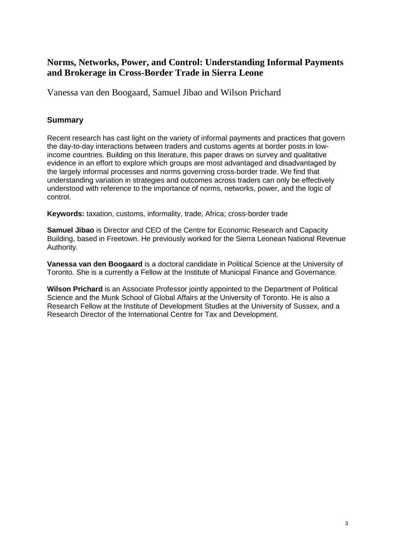### **Norms, Networks, Power, and Control: Understanding Informal Payments and Brokerage in Cross-Border Trade in Sierra Leone**

Vanessa van den Boogaard, Samuel Jibao and Wilson Prichard

### **Summary**

Recent research has cast light on the variety of informal payments and practices that govern the day-to-day interactions between traders and customs agents at border posts in lowincome countries. Building on this literature, this paper draws on survey and qualitative evidence in an effort to explore which groups are most advantaged and disadvantaged by the largely informal processes and norms governing cross-border trade. We find that understanding variation in strategies and outcomes across traders can only be effectively understood with reference to the importance of norms, networks, power, and the logic of control.

**Keywords:** taxation, customs, informality, trade, Africa; cross-border trade

**Samuel Jibao** is Director and CEO of the Centre for Economic Research and Capacity Building, based in Freetown. He previously worked for the Sierra Leonean National Revenue Authority.

**Vanessa van den Boogaard** is a doctoral candidate in Political Science at the University of Toronto. She is a currently a Fellow at the Institute of Municipal Finance and Governance.

**Wilson Prichard** is an Associate Professor jointly appointed to the Department of Political Science and the Munk School of Global Affairs at the University of Toronto. He is also a Research Fellow at the Institute of Development Studies at the University of Sussex, and a Research Director of the International Centre for Tax and Development.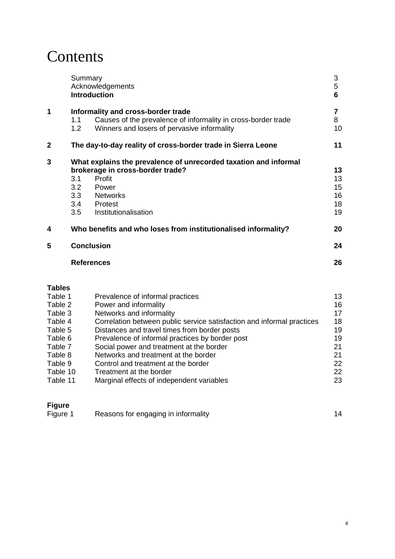# **Contents**

|              | Summary<br>Acknowledgements<br><b>Introduction</b>                                                                                                                                                            | 3<br>5<br>6                      |
|--------------|---------------------------------------------------------------------------------------------------------------------------------------------------------------------------------------------------------------|----------------------------------|
| 1            | Informality and cross-border trade<br>Causes of the prevalence of informality in cross-border trade<br>1.1<br>Winners and losers of pervasive informality<br>$1.2\,$                                          | 7<br>8<br>10                     |
| $\mathbf{2}$ | The day-to-day reality of cross-border trade in Sierra Leone                                                                                                                                                  | 11                               |
| 3            | What explains the prevalence of unrecorded taxation and informal<br>brokerage in cross-border trade?<br>3.1<br>Profit<br>3.2<br>Power<br>3.3<br><b>Networks</b><br>3.4 Protest<br>Institutionalisation<br>3.5 | 13<br>13<br>15<br>16<br>18<br>19 |
| 4            | Who benefits and who loses from institutionalised informality?                                                                                                                                                | 20                               |
| 5            | <b>Conclusion</b>                                                                                                                                                                                             | 24                               |
|              | <b>References</b>                                                                                                                                                                                             | 26                               |

| <b>Tables</b> |                                                                        |    |
|---------------|------------------------------------------------------------------------|----|
| Table 1       | Prevalence of informal practices                                       | 13 |
| Table 2       | Power and informality                                                  | 16 |
| Table 3       | Networks and informality                                               | 17 |
| Table 4       | Correlation between public service satisfaction and informal practices | 18 |
| Table 5       | Distances and travel times from border posts                           | 19 |
| Table 6       | Prevalence of informal practices by border post                        | 19 |
| Table 7       | Social power and treatment at the border                               | 21 |
| Table 8       | Networks and treatment at the border                                   | 21 |
| Table 9       | Control and treatment at the border                                    | 22 |
| Table 10      | Treatment at the border                                                | 22 |
| Table 11      | Marginal effects of independent variables                              | 23 |

### **Figure**

| Figure 1<br>Reasons for engaging in informality |  |
|-------------------------------------------------|--|
|-------------------------------------------------|--|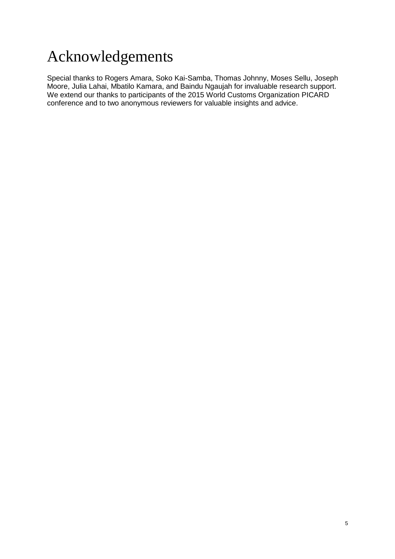# Acknowledgements

Special thanks to Rogers Amara, Soko Kai-Samba, Thomas Johnny, Moses Sellu, Joseph Moore, Julia Lahai, Mbatilo Kamara, and Baindu Ngaujah for invaluable research support. We extend our thanks to participants of the 2015 World Customs Organization PICARD conference and to two anonymous reviewers for valuable insights and advice.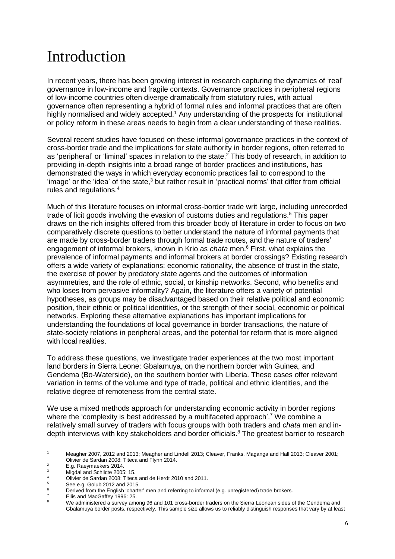# Introduction

In recent years, there has been growing interest in research capturing the dynamics of 'real' governance in low-income and fragile contexts. Governance practices in peripheral regions of low-income countries often diverge dramatically from statutory rules, with actual governance often representing a hybrid of formal rules and informal practices that are often highly normalised and widely accepted.<sup>1</sup> Any understanding of the prospects for institutional or policy reform in these areas needs to begin from a clear understanding of these realities.

Several recent studies have focused on these informal governance practices in the context of cross-border trade and the implications for state authority in border regions, often referred to as 'peripheral' or 'liminal' spaces in relation to the state.<sup>2</sup> This body of research, in addition to providing in-depth insights into a broad range of border practices and institutions, has demonstrated the ways in which everyday economic practices fail to correspond to the 'image' or the 'idea' of the state, $3$  but rather result in 'practical norms' that differ from official rules and regulations.<sup>4</sup>

Much of this literature focuses on informal cross-border trade writ large, including unrecorded trade of licit goods involving the evasion of customs duties and regulations.<sup>5</sup> This paper draws on the rich insights offered from this broader body of literature in order to focus on two comparatively discrete questions to better understand the nature of informal payments that are made by cross-border traders through formal trade routes, and the nature of traders' engagement of informal brokers, known in Krio as *chata* men.<sup>6</sup> First, what explains the prevalence of informal payments and informal brokers at border crossings? Existing research offers a wide variety of explanations: economic rationality, the absence of trust in the state, the exercise of power by predatory state agents and the outcomes of information asymmetries, and the role of ethnic, social, or kinship networks. Second, who benefits and who loses from pervasive informality? Again, the literature offers a variety of potential hypotheses, as groups may be disadvantaged based on their relative political and economic position, their ethnic or political identities, or the strength of their social, economic or political networks. Exploring these alternative explanations has important implications for understanding the foundations of local governance in border transactions, the nature of state-society relations in peripheral areas, and the potential for reform that is more aligned with local realities.

To address these questions, we investigate trader experiences at the two most important land borders in Sierra Leone: Gbalamuya, on the northern border with Guinea, and Gendema (Bo-Waterside), on the southern border with Liberia. These cases offer relevant variation in terms of the volume and type of trade, political and ethnic identities, and the relative degree of remoteness from the central state.

We use a mixed methods approach for understanding economic activity in border regions where the 'complexity is best addressed by a multifaceted approach'.<sup>7</sup> We combine a relatively small survey of traders with focus groups with both traders and *chata* men and indepth interviews with key stakeholders and border officials.<sup>8</sup> The greatest barrier to research

 $\overline{1}$ <sup>1</sup> Meagher 2007, 2012 and 2013; Meagher and Lindell 2013; Cleaver, Franks, Maganga and Hall 2013; Cleaver 2001; Olivier de Sardan 2008; Titeca and Flynn 2014.

 $\frac{2}{3}$  E.g. Raeymaekers 2014.

Migdal and Schlicte 2005: 15.

<sup>&</sup>lt;sup>4</sup> Olivier de Sardan 2008; Titeca and de Herdt 2010 and 2011.

 $5$  See e.g. Golub 2012 and 2015.

<sup>&</sup>lt;sup>6</sup> Derived from the English 'charter' men and referring to informal (e.g. unregistered) trade brokers.<br><sup>7</sup> Ellis and MacGaffey 1996; 25

Ellis and MacGaffey 1996: 25.

We administered a survey among 96 and 101 cross-border traders on the Sierra Leonean sides of the Gendema and Gbalamuya border posts, respectively. This sample size allows us to reliably distinguish responses that vary by at least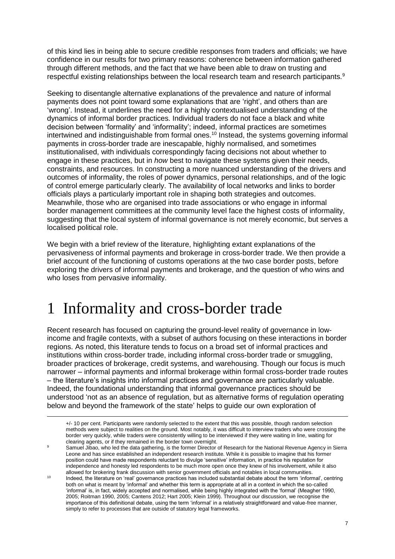of this kind lies in being able to secure credible responses from traders and officials; we have confidence in our results for two primary reasons: coherence between information gathered through different methods, and the fact that we have been able to draw on trusting and respectful existing relationships between the local research team and research participants.<sup>9</sup>

Seeking to disentangle alternative explanations of the prevalence and nature of informal payments does not point toward some explanations that are 'right', and others than are 'wrong'. Instead, it underlines the need for a highly contextualised understanding of the dynamics of informal border practices. Individual traders do not face a black and white decision between 'formality' and 'informality'; indeed, informal practices are sometimes intertwined and indistinguishable from formal ones.<sup>10</sup> Instead, the systems governing informal payments in cross-border trade are inescapable, highly normalised, and sometimes institutionalised, with individuals correspondingly facing decisions not about whether to engage in these practices, but in *how* best to navigate these systems given their needs, constraints, and resources. In constructing a more nuanced understanding of the drivers and outcomes of informality, the roles of power dynamics, personal relationships, and of the logic of control emerge particularly clearly. The availability of local networks and links to border officials plays a particularly important role in shaping both strategies and outcomes. Meanwhile, those who are organised into trade associations or who engage in informal border management committees at the community level face the highest costs of informality, suggesting that the local system of informal governance is not merely economic, but serves a localised political role.

We begin with a brief review of the literature, highlighting extant explanations of the pervasiveness of informal payments and brokerage in cross-border trade. We then provide a brief account of the functioning of customs operations at the two case border posts, before exploring the drivers of informal payments and brokerage, and the question of who wins and who loses from pervasive informality.

### 1 Informality and cross-border trade

 $\overline{a}$ 

Recent research has focused on capturing the ground-level reality of governance in lowincome and fragile contexts, with a subset of authors focusing on these interactions in border regions. As noted, this literature tends to focus on a broad set of informal practices and institutions within cross-border trade, including informal cross-border trade or smuggling, broader practices of brokerage, credit systems, and warehousing. Though our focus is much narrower – informal payments and informal brokerage within formal cross-border trade routes – the literature's insights into informal practices and governance are particularly valuable. Indeed, the foundational understanding that informal governance practices should be understood 'not as an absence of regulation, but as alternative forms of regulation operating below and beyond the framework of the state' helps to guide our own exploration of

<sup>+/-</sup> 10 per cent. Participants were randomly selected to the extent that this was possible, though random selection methods were subject to realities on the ground. Most notably, it was difficult to interview traders who were crossing the border very quickly, while traders were consistently willing to be interviewed if they were waiting in line, waiting for clearing agents, or if they remained in the border town overnight.

Samuel Jibao, who led the data gathering, is the former Director of Research for the National Revenue Agency in Sierra Leone and has since established an independent research institute. While it is possible to imagine that his former position could have made respondents reluctant to divulge 'sensitive' information, in practice his reputation for independence and honesty led respondents to be much more open once they knew of his involvement, while it also allowed for brokering frank discussion with senior government officials and notables in local communities.

<sup>10</sup> Indeed, the literature on 'real' governance practices has included substantial debate about the term 'informal', centring both on what is meant by 'informal' and whether this term is appropriate at all in a context in which the so-called 'informal' is, in fact, widely accepted and normalised, while being highly integrated with the 'formal' (Meagher 1990, 2005; Roitman 1990, 2005; Cantens 2012; Hart 2005; Klein 1999). Throughout our discussion, we recognise the importance of this definitional debate, using the term 'informal' in a relatively straightforward and value-free manner, simply to refer to processes that are outside of statutory legal frameworks.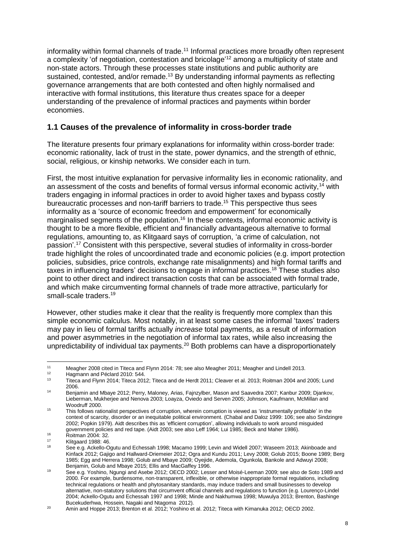informality within formal channels of trade.<sup>11</sup> Informal practices more broadly often represent a complexity 'of negotiation, contestation and bricolage'<sup>12</sup> among a multiplicity of state and non-state actors. Through these processes state institutions and public authority are sustained, contested, and/or remade.<sup>13</sup> By understanding informal payments as reflecting governance arrangements that are both contested and often highly normalised and interactive with formal institutions, this literature thus creates space for a deeper understanding of the prevalence of informal practices and payments within border economies.

### **1.1 Causes of the prevalence of informality in cross-border trade**

The literature presents four primary explanations for informality within cross-border trade: economic rationality, lack of trust in the state, power dynamics, and the strength of ethnic, social, religious, or kinship networks. We consider each in turn.

First, the most intuitive explanation for pervasive informality lies in economic rationality, and an assessment of the costs and benefits of formal versus informal economic activity,<sup>14</sup> with traders engaging in informal practices in order to avoid higher taxes and bypass costly bureaucratic processes and non-tariff barriers to trade.<sup>15</sup> This perspective thus sees informality as a 'source of economic freedom and empowerment' for economically marginalised segments of the population.<sup>16</sup> In these contexts, informal economic activity is thought to be a more flexible, efficient and financially advantageous alternative to formal regulations, amounting to, as Klitgaard says of corruption, 'a crime of calculation, not passion'. <sup>17</sup> Consistent with this perspective, several studies of informality in cross-border trade highlight the roles of uncoordinated trade and economic policies (e.g. import protection policies, subsidies, price controls, exchange rate misalignments) and high formal tariffs and taxes in influencing traders' decisions to engage in informal practices. <sup>18</sup> These studies also point to other direct and indirect transaction costs that can be associated with formal trade, and which make circumventing formal channels of trade more attractive, particularly for small-scale traders. 19

However, other studies make it clear that the reality is frequently more complex than this simple economic calculus. Most notably, in at least some cases the informal 'taxes' traders may pay in lieu of formal tariffs actually *increase* total payments, as a result of information and power asymmetries in the negotiation of informal tax rates, while also increasing the unpredictability of individual tax payments.<sup>20</sup> Both problems can have a disproportionately

 $11$ <sup>11</sup> Meagher 2008 cited in Titeca and Flynn 2014: 78; see also Meagher 2011; Meagher and Lindell 2013.<br><sup>12</sup> Heamens and Réalerd 2010: 544

<sup>&</sup>lt;sup>12</sup> Hagmann and Péclard 2010: 544.

<sup>13</sup> Titeca and Flynn 2014; Titeca 2012; Titeca and de Herdt 2011; Cleaver et al. 2013; Roitman 2004 and 2005; Lund 2006.

<sup>14</sup> Benjamin and Mbaye 2012; Perry, Maloney, Arias, Fajnzylber, Mason and Saavedra 2007; Kanbur 2009; Djankov, Lieberman, Mukherjee and Nenova 2003; Loayza, Oviedo and Serven 2005; Johnson, Kaufmann, McMillan and Woodruff 2000

<sup>&</sup>lt;sup>15</sup> This follows rationalist perspectives of corruption, wherein corruption is viewed as 'instrumentally profitable' in the context of scarcity, disorder or an inequitable political environment. (Chabal and Daloz 1999: 106; see also Sindzingre 2002; Popkin 1979). Aidt describes this as 'efficient corruption', allowing individuals to work around misguided government policies and red tape. (Aidt 2003; see also Leff 1964; Lui 1985; Beck and Maher 1986).

 $^{16}$  Roitman 2004: 32.

<sup>&</sup>lt;sup>17</sup> Klitgaard 1988: 46.

<sup>18</sup> See e.g. Ackello-Ogutu and Echessah 1998; Macamo 1999; Levin and Widell 2007; Waseem 2013; Akinboade and Kinfack 2012; Gajigo and Hallward-Driemeier 2012; Ogra and Kundu 2011; Levy 2008; Golub 2015; Boone 1989; Berg 1985; Egg and Herrera 1998; Golub and Mbaye 2009; Oyejide, Ademola, Ogunkola, Bankole and Adwuyi 2008; Benjamin, Golub and Mbaye 2015; Ellis and MacGaffey 1996.

<sup>19</sup> See e.g. Yoshino, Ngungi and Asebe 2012; OECD 2002; Lesser and Moisé-Leeman 2009; see also de Soto 1989 and 2000. For example, burdensome, non-transparent, inflexible, or otherwise inappropriate formal regulations, including technical regulations or health and phytosanitary standards, may induce traders and small businesses to develop alternative, non-statutory solutions that circumvent official channels and regulations to function (e.g. Lourenço-Lindel 2004; Ackello-Ogutu and Echessah 1997 and 1998; Minde and Nakhumwa 1998; Muwulya 2013; Brenton, Bashinge Bucekuderhwa, Hossein, Nagaki and Ntagoma 2012).

<sup>&</sup>lt;sup>20</sup> Amin and Hoppe 2013; Brenton et al. 2012; Yoshino et al. 2012; Titeca with Kimanuka 2012; OECD 2002.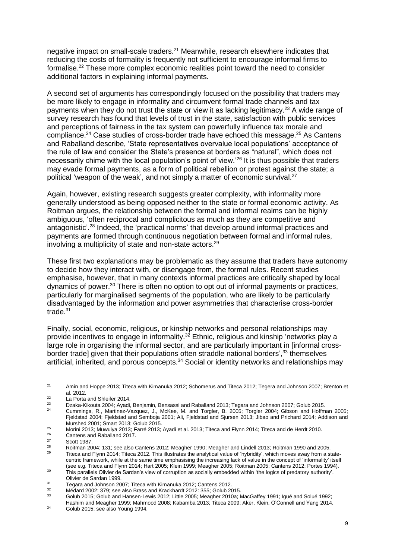negative impact on small-scale traders.<sup>21</sup> Meanwhile, research elsewhere indicates that reducing the costs of formality is frequently not sufficient to encourage informal firms to formalise.<sup>22</sup> These more complex economic realities point toward the need to consider additional factors in explaining informal payments.

A second set of arguments has correspondingly focused on the possibility that traders may be more likely to engage in informality and circumvent formal trade channels and tax payments when they do not trust the state or view it as lacking legitimacy.<sup>23</sup> A wide range of survey research has found that levels of trust in the state, satisfaction with public services and perceptions of fairness in the tax system can powerfully influence tax morale and compliance.<sup>24</sup> Case studies of cross-border trade have echoed this message.<sup>25</sup> As Cantens and Raballand describe, 'State representatives overvalue local populations' acceptance of the rule of law and consider the State's presence at borders as "natural", which does not necessarily chime with the local population's point of view.' <sup>26</sup> It is thus possible that traders may evade formal payments, as a form of political rebellion or protest against the state; a political 'weapon of the weak', and not simply a matter of economic survival.<sup>27</sup>

Again, however, existing research suggests greater complexity, with informality more generally understood as being opposed neither to the state or formal economic activity. As Roitman argues, the relationship between the formal and informal realms can be highly ambiguous, 'often reciprocal and complicitous as much as they are competitive and antagonistic'. <sup>28</sup> Indeed, the 'practical norms' that develop around informal practices and payments are formed through continuous negotiation between formal and informal rules, involving a multiplicity of state and non-state actors.<sup>29</sup>

These first two explanations may be problematic as they assume that traders have autonomy to decide how they interact with, or disengage from, the formal rules. Recent studies emphasise, however, that in many contexts informal practices are critically shaped by local dynamics of power.<sup>30</sup> There is often no option to opt out of informal payments or practices, particularly for marginalised segments of the population, who are likely to be particularly disadvantaged by the information and power asymmetries that characterise cross-border trade.<sup>31</sup>

Finally, social, economic, religious, or kinship networks and personal relationships may provide incentives to engage in informality.<sup>32</sup> Ethnic, religious and kinship 'networks play a large role in organising the informal sector, and are particularly important in [informal crossborder trade] given that their populations often straddle national borders', <sup>33</sup> themselves artificial, inherited, and porous concepts.<sup>34</sup> Social or identity networks and relationships may

<sup>33</sup> Golub 2015; Golub and Hansen-Lewis 2012; Little 2005; Meagher 2010a; MacGaffey 1991; Igué and Solué 1992; Hashim and Meagher 1999; Mahmood 2008; Kabamba 2013; Titeca 2009; Aker, Klein, O'Connell and Yang 2014.

 $21$ <sup>21</sup> Amin and Hoppe 2013; Titeca with Kimanuka 2012; Schomerus and Titeca 2012; Tegera and Johnson 2007; Brenton et al. 2012.

 $\frac{22}{23}$  La Porta and Shleifer 2014.

<sup>&</sup>lt;sup>23</sup> Dzaka-Kikouta 2004; Ayadi, Benjamin, Bensassi and Raballand 2013; Tegara and Johnson 2007; Golub 2015.<br><sup>24</sup> Cummings, B., Martingz Vazguez, J., McKoo, M., and Tergler, B., 2005; Tergler, 2004; Gibson and Hoffmi

<sup>24</sup> Cummings, R., Martinez-Vazquez, J., McKee, M. and Torgler, B. 2005; Torgler 2004; Gibson and Hoffman 2005; Fjeldstad 2004; Fjeldstad and Semboja 2001; Ali, Fjeldstad and Sjursen 2013; Jibao and Prichard 2014; Addison and Murshed 2001; Smart 2013; Golub 2015.

<sup>&</sup>lt;sup>25</sup> Morini 2013; Muwulya 2013; Farré 2013; Ayadi et al. 2013; Titeca and Flynn 2014; Titeca and de Herdt 2010.

 $^{26}$  Cantens and Raballand 2017.

 $\frac{27}{28}$  Scott 1987.

<sup>&</sup>lt;sup>28</sup> Roitman 2004: 131; see also Cantens 2012; Meagher 1990; Meagher and Lindell 2013; Roitman 1990 and 2005. Titeca and Flynn 2014; Titeca 2012. This illustrates the analytical value of 'hybridity', which moves away from a statecentric framework, while at the same time emphasising the increasing lack of value in the concept of 'informality' itself (see e.g. Titeca and Flynn 2014; Hart 2005; Klein 1999; Meagher 2005; Roitman 2005; Cantens 2012; Portes 1994).

<sup>30</sup> This parallels Olivier de Sardan's view of corruption as socially embedded within 'the logics of predatory authority'. Olivier de Sardan 1999.

<sup>31</sup> Tegara and Johnson 2007; Titeca with Kimanuka 2012; Cantens 2012.

 $\frac{32}{33}$  Médard 2002: 379; see also Brass and Krackhardt 2012: 355; Golub 2015.<br> $\frac{33}{33}$  Golub 2015: Golub and Hansen-Lewis 2012: Little 2005: Meagher 2010a: N

<sup>34</sup> Golub 2015; see also Young 1994.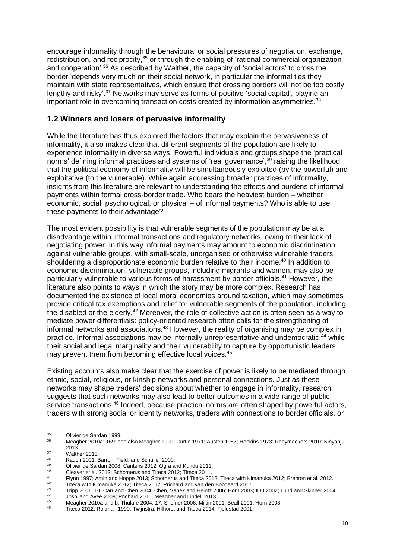encourage informality through the behavioural or social pressures of negotiation, exchange, redistribution, and reciprocity,<sup>35</sup> or through the enabling of 'rational commercial organization and cooperation'. <sup>36</sup> As described by Walther, the capacity of 'social actors' to cross the border 'depends very much on their social network, in particular the informal ties they maintain with state representatives, which ensure that crossing borders will not be too costly, lengthy and risky'.<sup>37</sup> Networks may serve as forms of positive 'social capital', playing an important role in overcoming transaction costs created by information asymmetries.<sup>3</sup>

### **1.2 Winners and losers of pervasive informality**

While the literature has thus explored the factors that may explain the pervasiveness of informality, it also makes clear that different segments of the population are likely to experience informality in diverse ways. Powerful individuals and groups shape the 'practical norms' defining informal practices and systems of 'real governance', <sup>39</sup> raising the likelihood that the political economy of informality will be simultaneously exploited (by the powerful) and exploitative (to the vulnerable). While again addressing broader practices of informality, insights from this literature are relevant to understanding the effects and burdens of informal payments within formal cross-border trade. Who bears the heaviest burden – whether economic, social, psychological, or physical – of informal payments? Who is able to use these payments to their advantage?

The most evident possibility is that vulnerable segments of the population may be at a disadvantage within informal transactions and regulatory networks, owing to their lack of negotiating power. In this way informal payments may amount to economic discrimination against vulnerable groups, with small-scale, unorganised or otherwise vulnerable traders shouldering a disproportionate economic burden relative to their income. <sup>40</sup> In addition to economic discrimination, vulnerable groups, including migrants and women, may also be particularly vulnerable to various forms of harassment by border officials.<sup>41</sup> However, the literature also points to ways in which the story may be more complex. Research has documented the existence of local moral economies around taxation, which may sometimes provide critical tax exemptions and relief for vulnerable segments of the population, including the disabled or the elderly.<sup>42</sup> Moreover, the role of collective action is often seen as a way to mediate power differentials: policy-oriented research often calls for the strengthening of informal networks and associations.<sup>43</sup> However, the reality of organising may be complex in practice. Informal associations may be internally unrepresentative and undemocratic,<sup>44</sup> while their social and legal marginality and their vulnerability to capture by opportunistic leaders may prevent them from becoming effective local voices.<sup>45</sup>

Existing accounts also make clear that the exercise of power is likely to be mediated through ethnic, social, religious, or kinship networks and personal connections. Just as these networks may shape traders' decisions about whether to engage in informality, research suggests that such networks may also lead to better outcomes in a wide range of public service transactions.<sup>46</sup> Indeed, because practical norms are often shaped by powerful actors, traders with strong social or identity networks, traders with connections to border officials, or

 $35$  $\frac{35}{36}$  Olivier de Sardan 1999.<br> $\frac{36}{36}$  Meagher 2010a: 169: su

<sup>36</sup> Meagher 2010a: 169; see also Meagher 1990; Curtin 1971; Austen 1987; Hopkins 1973; Raeymaekers 2010; Kinyanjui 2013.

 $\frac{37}{38}$  Walther 2015.

 $\frac{38}{2}$  Rauch 2001; Barron, Field, and Schuller 2000.

<sup>&</sup>lt;sup>39</sup> Olivier de Sardan 2008; Cantens 2012; Ogra and Kundu 2011.<br><sup>40</sup> Cloaver at al. 2013: Schamerus and Titoca 2013; Titoca 2011.

<sup>&</sup>lt;sup>40</sup> Cleaver et al. 2013; Schomerus and Titeca 2012; Titeca 2011.<br><sup>41</sup> Elynn 1997: Amin and Hoppe 2013: Schomerus and Titeca 201

<sup>&</sup>lt;sup>41</sup> Flynn 1997; Amin and Hoppe 2013; Schomerus and Titeca 2012; Titeca with Kimanuka 2012; Brenton et al. 2012.

<sup>42</sup> Titeca with Kimanuka 2012; Titeca 2012; Prichard and van den Boogaard 2017.

<sup>43</sup> Tripp 2001: 10; Carr and Chen 2004; Chen, Vanek and Heintz 2006; Horn 2003; ILO 2002; Lund and Skinner 2004.

<sup>&</sup>lt;sup>44</sup> Joshi and Ayee 2008; Prichard 2010; Meagher and Lindell 2013.<br><sup>45</sup> Meagher 2010a and b: Thulare 2004: 17: Shefner 2006: Miltin 20

<sup>&</sup>lt;sup>45</sup> Meagher 2010a and b; Thulare 2004: 17; Shefner 2006; Miltin 2001; Beall 2001; Horn 2003.

Titeca 2012; Roitman 1990; Twijnstra, Hilhorst and Titeca 2014; Fjeldstad 2001.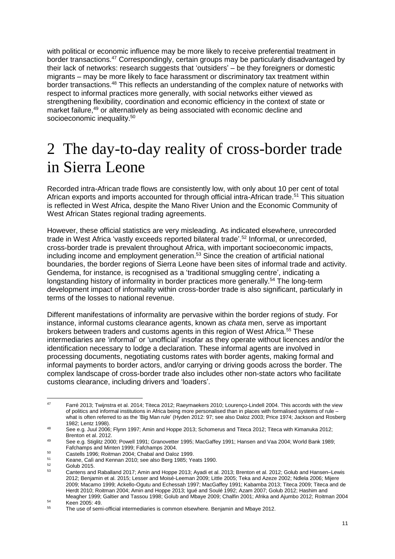with political or economic influence may be more likely to receive preferential treatment in border transactions.<sup>47</sup> Correspondingly, certain groups may be particularly disadvantaged by their lack of networks: research suggests that 'outsiders' – be they foreigners or domestic migrants – may be more likely to face harassment or discriminatory tax treatment within border transactions. <sup>48</sup> This reflects an understanding of the complex nature of networks with respect to informal practices more generally, with social networks either viewed as strengthening flexibility, coordination and economic efficiency in the context of state or market failure,<sup>49</sup> or alternatively as being associated with economic decline and socioeconomic inequality. 50

# 2 The day-to-day reality of cross-border trade in Sierra Leone

Recorded intra-African trade flows are consistently low, with only about 10 per cent of total African exports and imports accounted for through official intra-African trade.<sup>51</sup> This situation is reflected in West Africa, despite the Mano River Union and the Economic Community of West African States regional trading agreements.

However, these official statistics are very misleading. As indicated elsewhere, unrecorded trade in West Africa 'vastly exceeds reported bilateral trade'. <sup>52</sup> Informal, or unrecorded, cross-border trade is prevalent throughout Africa, with important socioeconomic impacts, including income and employment generation. <sup>53</sup> Since the creation of artificial national boundaries, the border regions of Sierra Leone have been sites of informal trade and activity. Gendema, for instance, is recognised as a 'traditional smuggling centre', indicating a longstanding history of informality in border practices more generally.<sup>54</sup> The long-term development impact of informality within cross-border trade is also significant, particularly in terms of the losses to national revenue.

Different manifestations of informality are pervasive within the border regions of study. For instance, informal customs clearance agents, known as *chata* men, serve as important brokers between traders and customs agents in this region of West Africa.<sup>55</sup> These intermediaries are 'informal' or 'unofficial' insofar as they operate without licences and/or the identification necessary to lodge a declaration. These informal agents are involved in processing documents, negotiating customs rates with border agents, making formal and informal payments to border actors, and/or carrying or driving goods across the border. The complex landscape of cross-border trade also includes other non-state actors who facilitate customs clearance, including drivers and 'loaders'.

<sup>47</sup> Farré 2013; Twijnstra et al. 2014; Titeca 2012; Raeymaekers 2010; Lourenço-Lindell 2004. This accords with the view of politics and informal institutions in Africa being more personalised than in places with formalised systems of rule – what is often referred to as the 'Big Man rule' (Hyden 2012: 97; see also Daloz 2003; Price 1974; Jackson and Rosberg 1982; Lentz 1998).

<sup>48</sup> See e.g. Juul 2006; Flynn 1997; Amin and Hoppe 2013; Schomerus and Titeca 2012; Titeca with Kimanuka 2012; Brenton et al. 2012.

<sup>49</sup> See e.g. Stiglitz 2000; Powell 1991; Granovetter 1995; MacGaffey 1991; Hansen and Vaa 2004; World Bank 1989; Fafchamps and Minten 1999; Fafchamps 2004.

<sup>50</sup> Castells 1996; Roitman 2004; Chabal and Daloz 1999.

<sup>&</sup>lt;sup>51</sup> Keane, Calì and Kennan 2010; see also Berg 1985; Yeats 1990.<br> $52 \qquad C_2 \qquad C_3$ 

 $52$  Golub 2015.

<sup>53</sup> Cantens and Raballand 2017; Amin and Hoppe 2013; Ayadi et al. 2013; Brenton et al. 2012; Golub and Hansen–Lewis 2012; Benjamin et al. 2015; Lesser and Moisé-Leeman 2009; Little 2005; Teka and Azeze 2002; Ndlela 2006; Mijere 2009; Macamo 1999; Ackello-Ogutu and Echessah 1997; MacGaffey 1991; Kabamba 2013; Titeca 2009; Titeca and de Herdt 2010; Roitman 2004; Amin and Hoppe 2013; Igué and Soulé 1992; Azam 2007; Golub 2012; Hashim and Meagher 1999; Galtier and Tassou 1998; Golub and Mbaye 2009; Chalfin 2001; Afrika and Ajumbo 2012; Roitman 2004  $54$  Keen 2005: 49

<sup>55</sup> The use of semi-official intermediaries is common elsewhere. Benjamin and Mbaye 2012.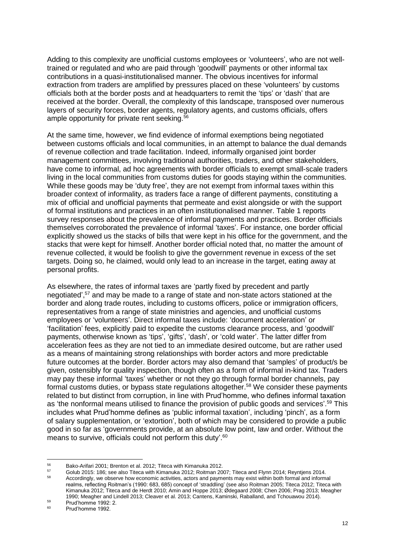Adding to this complexity are unofficial customs employees or 'volunteers', who are not welltrained or regulated and who are paid through 'goodwill' payments or other informal tax contributions in a quasi-institutionalised manner. The obvious incentives for informal extraction from traders are amplified by pressures placed on these 'volunteers' by customs officials both at the border posts and at headquarters to remit the 'tips' or 'dash' that are received at the border. Overall, the complexity of this landscape, transposed over numerous layers of security forces, border agents, regulatory agents, and customs officials, offers ample opportunity for private rent seeking.<sup>56</sup>

At the same time, however, we find evidence of informal exemptions being negotiated between customs officials and local communities, in an attempt to balance the dual demands of revenue collection and trade facilitation. Indeed, informally organised joint border management committees, involving traditional authorities, traders, and other stakeholders, have come to informal, ad hoc agreements with border officials to exempt small-scale traders living in the local communities from customs duties for goods staying within the communities. While these goods may be 'duty free', they are not exempt from informal taxes within this broader context of informality, as traders face a range of different payments, constituting a mix of official and unofficial payments that permeate and exist alongside or with the support of formal institutions and practices in an often institutionalised manner. Table 1 reports survey responses about the prevalence of informal payments and practices. Border officials themselves corroborated the prevalence of informal 'taxes'. For instance, one border official explicitly showed us the stacks of bills that were kept in his office for the government, and the stacks that were kept for himself. Another border official noted that, no matter the amount of revenue collected, it would be foolish to give the government revenue in excess of the set targets. Doing so, he claimed, would only lead to an increase in the target, eating away at personal profits.

As elsewhere, the rates of informal taxes are 'partly fixed by precedent and partly negotiated', <sup>57</sup> and may be made to a range of state and non-state actors stationed at the border and along trade routes, including to customs officers, police or immigration officers, representatives from a range of state ministries and agencies, and unofficial customs employees or 'volunteers'. Direct informal taxes include: 'document acceleration' or 'facilitation' fees, explicitly paid to expedite the customs clearance process, and 'goodwill' payments, otherwise known as 'tips', 'gifts', 'dash', or 'cold water'. The latter differ from acceleration fees as they are not tied to an immediate desired outcome, but are rather used as a means of maintaining strong relationships with border actors and more predictable future outcomes at the border. Border actors may also demand that 'samples' of product/s be given, ostensibly for quality inspection, though often as a form of informal in-kind tax. Traders may pay these informal 'taxes' whether or not they go through formal border channels, pay formal customs duties, or bypass state regulations altogether.<sup>58</sup> We consider these payments related to but distinct from corruption, in line with Prud'homme, who defines informal taxation as 'the nonformal means utilised to finance the provision of public goods and services'.<sup>59</sup> This includes what Prud'homme defines as 'public informal taxation', including 'pinch', as a form of salary supplementation, or 'extortion', both of which may be considered to provide a public good in so far as 'governments provide, at an absolute low point, law and order. Without the means to survive, officials could not perform this duty'.<sup>60</sup>

<sup>56</sup> <sup>56</sup> Bako-Arifari 2001; Brenton et al. 2012; Titeca with Kimanuka 2012.<br> $\frac{57}{2}$  Celub 2015; 196: ass also Titesa with Kimanuka 2013; Beitman 20

<sup>&</sup>lt;sup>57</sup> Golub 2015: 186; see also Titeca with Kimanuka 2012; Roitman 2007; Titeca and Flynn 2014; Reyntjens 2014. Accordingly, we observe how economic activities, actors and payments may exist within both formal and informal realms, reflecting Roitman's (1990: 683, 685) concept of 'straddling' (see also Roitman 2005; Titeca 2012; Titeca with Kimanuka 2012; Titeca and de Herdt 2010; Amin and Hoppe 2013; Ødegaard 2008; Chen 2006; Prag 2013; Meagher 1990; Meagher and Lindell 2013; Cleaver et al. 2013; Cantens, Kaminski, Raballand, and Tchouawou 2014).

 $^{59}$  Prud'homme 1992: 2.

Prud'homme 1992.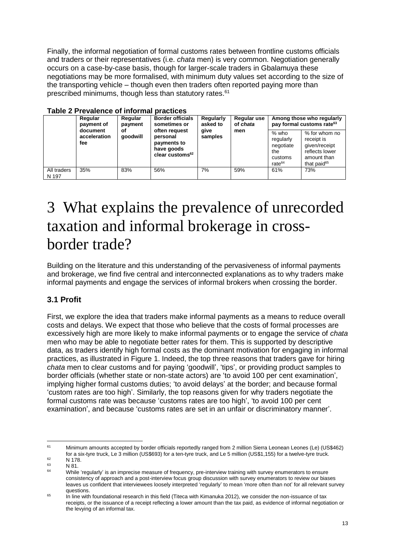Finally, the informal negotiation of formal customs rates between frontline customs officials and traders or their representatives (i.e. *chata* men) is very common. Negotiation generally occurs on a case-by-case basis, though for larger-scale traders in Gbalamuya these negotiations may be more formalised, with minimum duty values set according to the size of the transporting vehicle – though even then traders often reported paying more than prescribed minimums, though less than statutory rates. 61

|                      | Regular<br>Regular<br>payment of<br>payment | <b>Border officials</b><br>sometimes or | Regularly<br>asked to                                                                                    | Regular use<br>of chata<br>men | Among those who regularly<br>pay formal customs rate <sup>63</sup>        |                                                                                                          |     |  |
|----------------------|---------------------------------------------|-----------------------------------------|----------------------------------------------------------------------------------------------------------|--------------------------------|---------------------------------------------------------------------------|----------------------------------------------------------------------------------------------------------|-----|--|
|                      | document<br>acceleration<br>fee             | οf<br>qoodwill                          | often request<br>aive<br>samples<br>personal<br>payments to<br>have goods<br>clear customs <sup>62</sup> |                                | $%$ who<br>regularly<br>negotiate<br>the<br>customs<br>rate <sup>64</sup> | % for whom no<br>receipt is<br>given/receipt<br>reflects lower<br>amount than<br>that paid <sup>65</sup> |     |  |
| All traders<br>N 197 | 35%                                         | 83%                                     | 56%                                                                                                      | 7%                             | 59%                                                                       | 61%                                                                                                      | 73% |  |

| Table 2 Prevalence of informal practices |  |  |
|------------------------------------------|--|--|
|------------------------------------------|--|--|

# 3 What explains the prevalence of unrecorded taxation and informal brokerage in crossborder trade?

Building on the literature and this understanding of the pervasiveness of informal payments and brokerage, we find five central and interconnected explanations as to why traders make informal payments and engage the services of informal brokers when crossing the border.

### **3.1 Profit**

First, we explore the idea that traders make informal payments as a means to reduce overall costs and delays. We expect that those who believe that the costs of formal processes are excessively high are more likely to make informal payments or to engage the service of *chata* men who may be able to negotiate better rates for them. This is supported by descriptive data, as traders identify high formal costs as the dominant motivation for engaging in informal practices, as illustrated in Figure 1. Indeed, the top three reasons that traders gave for hiring *chata* men to clear customs and for paying 'goodwill', 'tips', or providing product samples to border officials (whether state or non-state actors) are 'to avoid 100 per cent examination', implying higher formal customs duties; 'to avoid delays' at the border; and because formal 'custom rates are too high'. Similarly, the top reasons given for why traders negotiate the formal customs rate was because 'customs rates are too high', 'to avoid 100 per cent examination', and because 'customs rates are set in an unfair or discriminatory manner'.

<sup>61</sup> Minimum amounts accepted by border officials reportedly ranged from 2 million Sierra Leonean Leones (Le) (US\$462) for a six-tyre truck, Le 3 million (US\$693) for a ten-tyre truck, and Le 5 million (US\$1,155) for a twelve-tyre truck.

 $^{62}$  N 178.

 $^{63}$  N 81.

While 'regularly' is an imprecise measure of frequency, pre-interview training with survey enumerators to ensure consistency of approach and a post-interview focus group discussion with survey enumerators to review our biases leaves us confident that interviewees loosely interpreted 'regularly' to mean 'more often than not' for all relevant survey questions.

<sup>&</sup>lt;sup>65</sup> In line with foundational research in this field (Titeca with Kimanuka 2012), we consider the non-issuance of tax receipts, or the issuance of a receipt reflecting a lower amount than the tax paid, as evidence of informal negotiation or the levying of an informal tax.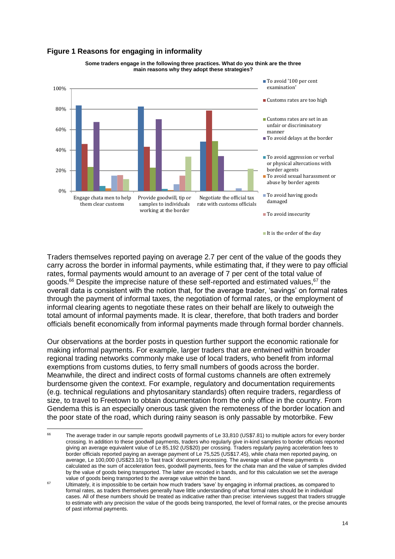

**Some traders engage in the following three practices. What do you think are the three main reasons why they adopt these strategies?** 

### **Figure 1 Reasons for engaging in informality**

 $\blacksquare$  It is the order of the day

Traders themselves reported paying on average 2.7 per cent of the value of the goods they carry across the border in informal payments, while estimating that, if they were to pay official rates, formal payments would amount to an average of 7 per cent of the total value of goods.<sup>66</sup> Despite the imprecise nature of these self-reported and estimated values,  $67$  the overall data is consistent with the notion that, for the average trader, 'savings' on formal rates through the payment of informal taxes, the negotiation of formal rates, or the employment of informal clearing agents to negotiate these rates on their behalf are likely to outweigh the total amount of informal payments made. It is clear, therefore, that both traders and border officials benefit economically from informal payments made through formal border channels.

Our observations at the border posts in question further support the economic rationale for making informal payments. For example, larger traders that are entwined within broader regional trading networks commonly make use of local traders, who benefit from informal exemptions from customs duties, to ferry small numbers of goods across the border. Meanwhile, the direct and indirect costs of formal customs channels are often extremely burdensome given the context. For example, regulatory and documentation requirements (e.g. technical regulations and phytosanitary standards) often require traders, regardless of size, to travel to Freetown to obtain documentation from the only office in the country. From Gendema this is an especially onerous task given the remoteness of the border location and the poor state of the road, which during rainy season is only passable by motorbike. Few

<sup>66</sup> The average trader in our sample reports goodwill payments of Le 33,810 (US\$7.81) to multiple actors for every border crossing. In addition to these goodwill payments, traders who regularly give in-kind samples to border officials reported giving an average equivalent value of Le 85,192 (US\$20) per crossing. Traders regularly paying acceleration fees to border officials reported paying an average payment of Le 75,525 (US\$17.45), while *chata* men reported paying, on average, Le 100,000 (US\$23.10) to 'fast track' document processing. The average value of these payments is calculated as the sum of acceleration fees, goodwill payments, fees for the *chata* man and the value of samples divided by the value of goods being transported. The latter are recoded in bands, and for this calculation we set the average value of goods being transported to the average value within the band.

<sup>&</sup>lt;sup>67</sup> Ultimately, it is impossible to be certain how much traders 'save' by engaging in informal practices, as compared to formal rates, as traders themselves generally have little understanding of what formal rates should be in individual cases. All of these numbers should be treated as indicative rather than precise: interviews suggest that traders struggle to estimate with any precision the value of the goods being transported, the level of formal rates, or the precise amounts of past informal payments.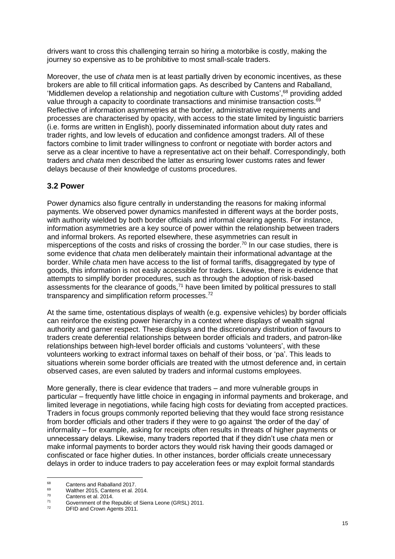drivers want to cross this challenging terrain so hiring a motorbike is costly, making the journey so expensive as to be prohibitive to most small-scale traders.

Moreover, the use of *chata* men is at least partially driven by economic incentives, as these brokers are able to fill critical information gaps. As described by Cantens and Raballand, 'Middlemen develop a relationship and negotiation culture with Customs', <sup>68</sup> providing added value through a capacity to coordinate transactions and minimise transaction costs.<sup>69</sup> Reflective of information asymmetries at the border, administrative requirements and processes are characterised by opacity, with access to the state limited by linguistic barriers (i.e. forms are written in English), poorly disseminated information about duty rates and trader rights, and low levels of education and confidence amongst traders. All of these factors combine to limit trader willingness to confront or negotiate with border actors and serve as a clear incentive to have a representative act on their behalf. Correspondingly, both traders and *chata* men described the latter as ensuring lower customs rates and fewer delays because of their knowledge of customs procedures.

#### **3.2 Power**

Power dynamics also figure centrally in understanding the reasons for making informal payments. We observed power dynamics manifested in different ways at the border posts, with authority wielded by both border officials and informal clearing agents. For instance, information asymmetries are a key source of power within the relationship between traders and informal brokers. As reported elsewhere, these asymmetries can result in misperceptions of the costs and risks of crossing the border.<sup>70</sup> In our case studies, there is some evidence that *chata* men deliberately maintain their informational advantage at the border. While *chata* men have access to the list of formal tariffs, disaggregated by type of goods, this information is not easily accessible for traders. Likewise, there is evidence that attempts to simplify border procedures, such as through the adoption of risk-based assessments for the clearance of goods,<sup>71</sup> have been limited by political pressures to stall transparency and simplification reform processes.<sup>72</sup>

At the same time, ostentatious displays of wealth (e.g. expensive vehicles) by border officials can reinforce the existing power hierarchy in a context where displays of wealth signal authority and garner respect. These displays and the discretionary distribution of favours to traders create deferential relationships between border officials and traders, and patron-like relationships between high-level border officials and customs 'volunteers', with these volunteers working to extract informal taxes on behalf of their boss, or 'pa'. This leads to situations wherein some border officials are treated with the utmost deference and, in certain observed cases, are even saluted by traders and informal customs employees.

More generally, there is clear evidence that traders – and more vulnerable groups in particular – frequently have little choice in engaging in informal payments and brokerage, and limited leverage in negotiations, while facing high costs for deviating from accepted practices. Traders in focus groups commonly reported believing that they would face strong resistance from border officials and other traders if they were to go against 'the order of the day' of informality – for example, asking for receipts often results in threats of higher payments or unnecessary delays. Likewise, many traders reported that if they didn't use *chata* men or make informal payments to border actors they would risk having their goods damaged or confiscated or face higher duties. In other instances, border officials create unnecessary delays in order to induce traders to pay acceleration fees or may exploit formal standards

<sup>68</sup> <sup>68</sup> Cantens and Raballand 2017.

 $^{69}$  Walther 2015, Cantens et al. 2014.

 $^{70}$  Cantens et al. 2014.

<sup>&</sup>lt;sup>71</sup> Government of the Republic of Sierra Leone (GRSL) 2011.

DFID and Crown Agents 2011.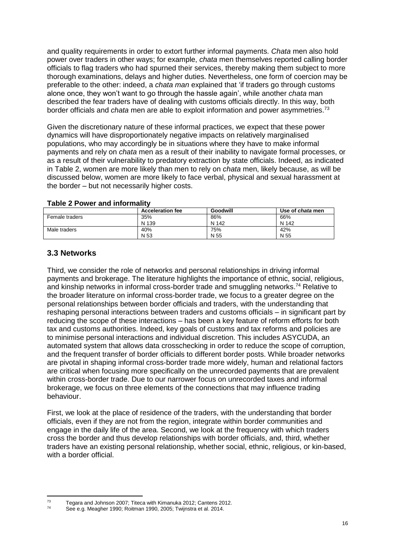and quality requirements in order to extort further informal payments. *Chata* men also hold power over traders in other ways; for example, *chata* men themselves reported calling border officials to flag traders who had spurned their services, thereby making them subject to more thorough examinations, delays and higher duties. Nevertheless, one form of coercion may be preferable to the other: indeed, a *chata man* explained that 'if traders go through customs alone once, they won't want to go through the hassle again', while another *chata* man described the fear traders have of dealing with customs officials directly. In this way, both border officials and *chata* men are able to exploit information and power asymmetries.<sup>73</sup>

Given the discretionary nature of these informal practices, we expect that these power dynamics will have disproportionately negative impacts on relatively marginalised populations, who may accordingly be in situations where they have to make informal payments and rely on *chata* men as a result of their inability to navigate formal processes, or as a result of their vulnerability to predatory extraction by state officials. Indeed, as indicated in Table 2, women are more likely than men to rely on *chata* men, likely because, as will be discussed below, women are more likely to face verbal, physical and sexual harassment at the border – but not necessarily higher costs.

|                | <b>Acceleration fee</b> | Goodwill | Use of <i>chata</i> men |  |  |  |
|----------------|-------------------------|----------|-------------------------|--|--|--|
| Female traders | 35%                     | 86%      | 66%                     |  |  |  |
|                | N 139                   | N 142    | N 142                   |  |  |  |
| Male traders   | 40%                     | 75%      | 42%                     |  |  |  |
|                | N 53                    | N 55     | N 55                    |  |  |  |

#### **Table 2 Power and informality**

#### **3.3 Networks**

Third, we consider the role of networks and personal relationships in driving informal payments and brokerage. The literature highlights the importance of ethnic, social, religious, and kinship networks in informal cross-border trade and smuggling networks.<sup>74</sup> Relative to the broader literature on informal cross-border trade, we focus to a greater degree on the personal relationships between border officials and traders, with the understanding that reshaping personal interactions between traders and customs officials – in significant part by reducing the scope of these interactions – has been a key feature of reform efforts for both tax and customs authorities. Indeed, key goals of customs and tax reforms and policies are to minimise personal interactions and individual discretion. This includes ASYCUDA, an automated system that allows data crosschecking in order to reduce the scope of corruption, and the frequent transfer of border officials to different border posts. While broader networks are pivotal in shaping informal cross-border trade more widely, human and relational factors are critical when focusing more specifically on the unrecorded payments that are prevalent within cross-border trade. Due to our narrower focus on unrecorded taxes and informal brokerage, we focus on three elements of the connections that may influence trading behaviour.

First, we look at the place of residence of the traders, with the understanding that border officials, even if they are not from the region, integrate within border communities and engage in the daily life of the area. Second, we look at the frequency with which traders cross the border and thus develop relationships with border officials, and, third, whether traders have an existing personal relationship, whether social, ethnic, religious, or kin-based, with a border official.

 $73$  $^{73}$  Tegara and Johnson 2007; Titeca with Kimanuka 2012; Cantens 2012.

<sup>74</sup> See e.g. Meagher 1990; Roitman 1990, 2005; Twijnstra et al. 2014.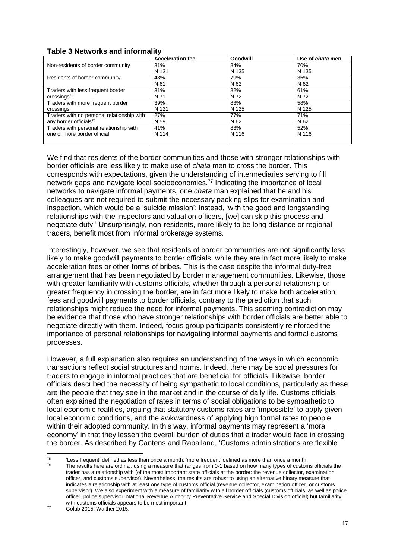### **Table 3 Networks and informality**

|                                            | <b>Acceleration fee</b> | Goodwill | Use of <i>chata</i> men |
|--------------------------------------------|-------------------------|----------|-------------------------|
| Non-residents of border community          | 31%                     | 84%      | 70%                     |
|                                            | N 131                   | N 135    | N 135                   |
| Residents of border community              | 48%                     | 79%      | 35%                     |
|                                            | N 61                    | N 62     | N 62                    |
| Traders with less frequent border          | 31%                     | 82%      | 61%                     |
| crossings <sup>75</sup>                    | N 71                    | N 72     | N 72                    |
| Traders with more frequent border          | 39%                     | 83%      | 58%                     |
| crossings                                  | N 121                   | N 125    | N 125                   |
| Traders with no personal relationship with | 27%                     | 77%      | 71%                     |
| any border officials <sup>76</sup>         | N 59                    | N 62     | N 62                    |
| Traders with personal relationship with    | 41%                     | 83%      | 52%                     |
| one or more border official                | N 114                   | N 116    | N 116                   |
|                                            |                         |          |                         |

We find that residents of the border communities and those with stronger relationships with border officials are less likely to make use of *chata* men to cross the border. This corresponds with expectations, given the understanding of intermediaries serving to fill network gaps and navigate local socioeconomies.<sup>77</sup> Indicating the importance of local networks to navigate informal payments, one *chata* man explained that he and his colleagues are not required to submit the necessary packing slips for examination and inspection, which would be a 'suicide mission'; instead, 'with the good and longstanding relationships with the inspectors and valuation officers, [we] can skip this process and negotiate duty.' Unsurprisingly, non-residents, more likely to be long distance or regional traders, benefit most from informal brokerage systems.

Interestingly, however, we see that residents of border communities are not significantly less likely to make goodwill payments to border officials, while they are in fact more likely to make acceleration fees or other forms of bribes. This is the case despite the informal duty-free arrangement that has been negotiated by border management communities. Likewise, those with greater familiarity with customs officials, whether through a personal relationship or greater frequency in crossing the border, are in fact more likely to make both acceleration fees and goodwill payments to border officials, contrary to the prediction that such relationships might reduce the need for informal payments. This seeming contradiction may be evidence that those who have stronger relationships with border officials are better able to negotiate directly with them. Indeed, focus group participants consistently reinforced the importance of personal relationships for navigating informal payments and formal customs processes.

However, a full explanation also requires an understanding of the ways in which economic transactions reflect social structures and norms. Indeed, there may be social pressures for traders to engage in informal practices that are beneficial for officials. Likewise, border officials described the necessity of being sympathetic to local conditions, particularly as these are the people that they see in the market and in the course of daily life. Customs officials often explained the negotiation of rates in terms of social obligations to be sympathetic to local economic realities, arguing that statutory customs rates are 'impossible' to apply given local economic conditions, and the awkwardness of applying high formal rates to people within their adopted community. In this way, informal payments may represent a 'moral economy' in that they lessen the overall burden of duties that a trader would face in crossing the border. As described by Cantens and Raballand, 'Customs administrations are flexible

<sup>—&</sup>lt;br>75 'Less frequent' defined as less than once a month; 'more frequent' defined as more than once a month.

 $76$  The results here are ordinal, using a measure that ranges from 0-1 based on how many types of customs officials the trader has a relationship with (of the most important state officials at the border: the revenue collector, examination officer, and customs supervisor). Nevertheless, the results are robust to using an alternative binary measure that indicates a relationship with at least one type of customs official (revenue collector, examination officer, or customs supervisor). We also experiment with a measure of familiarity with all border officials (customs officials, as well as police officer, police supervisor, National Revenue Authority Preventative Service and Special Division official) but familiarity with customs officials appears to be most important.

<sup>77</sup> Golub 2015; Walther 2015.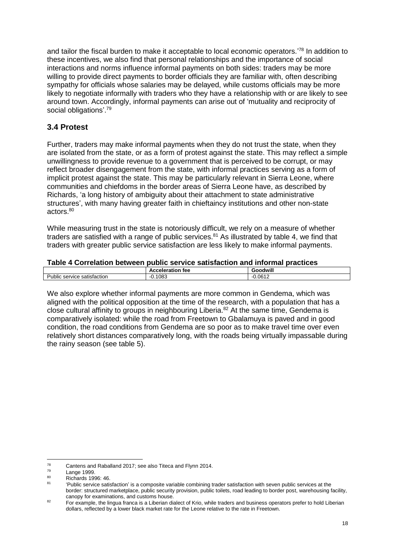and tailor the fiscal burden to make it acceptable to local economic operators.' <sup>78</sup> In addition to these incentives, we also find that personal relationships and the importance of social interactions and norms influence informal payments on both sides: traders may be more willing to provide direct payments to border officials they are familiar with, often describing sympathy for officials whose salaries may be delayed, while customs officials may be more likely to negotiate informally with traders who they have a relationship with or are likely to see around town. Accordingly, informal payments can arise out of 'mutuality and reciprocity of social obligations'. 79

### **3.4 Protest**

Further, traders may make informal payments when they do not trust the state, when they are isolated from the state, or as a form of protest against the state. This may reflect a simple unwillingness to provide revenue to a government that is perceived to be corrupt, or may reflect broader disengagement from the state, with informal practices serving as a form of implicit protest against the state. This may be particularly relevant in Sierra Leone, where communities and chiefdoms in the border areas of Sierra Leone have, as described by Richards, 'a long history of ambiguity about their attachment to state administrative structures', with many having greater faith in chieftaincy institutions and other non-state actors.<sup>80</sup>

While measuring trust in the state is notoriously difficult, we rely on a measure of whether traders are satisfied with a range of public services.<sup>81</sup> As illustrated by table 4, we find that traders with greater public service satisfaction are less likely to make informal payments.

#### **Table 4 Correlation between public service satisfaction and informal practices**

|                                   | .<br>tee<br>'ON | <br>. 1M/L<br>ш |
|-----------------------------------|-----------------|-----------------|
| Public<br>satisfaction<br>service | 083<br>u.       | 001c<br>∪.∪o i∠ |
|                                   |                 |                 |

We also explore whether informal payments are more common in Gendema, which was aligned with the political opposition at the time of the research, with a population that has a close cultural affinity to groups in neighbouring Liberia.<sup>82</sup> At the same time, Gendema is comparatively isolated: while the road from Freetown to Gbalamuya is paved and in good condition, the road conditions from Gendema are so poor as to make travel time over even relatively short distances comparatively long, with the roads being virtually impassable during the rainy season (see table 5).

<sup>78</sup>  $78$  Cantens and Raballand 2017; see also Titeca and Flynn 2014.

 $^{79}$  Lange 1999.

Richards 1996: 46.

<sup>81</sup> 'Public service satisfaction' is a composite variable combining trader satisfaction with seven public services at the border: structured marketplace, public security provision, public toilets, road leading to border post, warehousing facility, canopy for examinations, and customs house.

<sup>82</sup> For example, the lingua franca is a Liberian dialect of Krio, while traders and business operators prefer to hold Liberian dollars, reflected by a lower black market rate for the Leone relative to the rate in Freetown.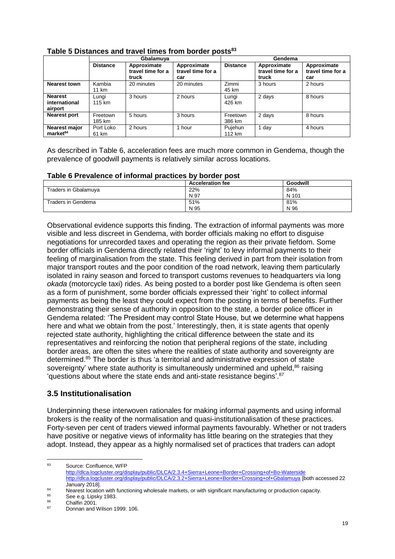|                                              |                    | Gbalamuva                                 |                                         | Gendema            |                                           |                                         |  |
|----------------------------------------------|--------------------|-------------------------------------------|-----------------------------------------|--------------------|-------------------------------------------|-----------------------------------------|--|
|                                              | <b>Distance</b>    | Approximate<br>travel time for a<br>truck | Approximate<br>travel time for a<br>car | <b>Distance</b>    | Approximate<br>travel time for a<br>truck | Approximate<br>travel time for a<br>car |  |
| <b>Nearest town</b>                          | Kambia<br>11 km    | 20 minutes                                | 20 minutes                              | Zimmi<br>45 km     | 3 hours                                   | 2 hours                                 |  |
| <b>Nearest</b><br>international<br>airport   | Lungi<br>115 km    | 3 hours                                   | 2 hours                                 | Lungi<br>426 km    | 2 days                                    | 8 hours                                 |  |
| <b>Nearest port</b>                          | Freetown<br>185 km | 5 hours                                   | 3 hours                                 | Freetown<br>386 km | 2 days                                    | 8 hours                                 |  |
| <b>Nearest major</b><br>market <sup>84</sup> | Port Loko<br>61 km | 2 hours                                   | 1 hour                                  | Pujehun<br>112 km  | day                                       | 4 hours                                 |  |

#### **Table 5 Distances and travel times from border posts<sup>83</sup>**

As described in Table 6, acceleration fees are much more common in Gendema, though the prevalence of goodwill payments is relatively similar across locations.

#### **Table 6 Prevalence of informal practices by border post**

|                      | <b>Acceleration fee</b> | Goodwill |
|----------------------|-------------------------|----------|
| Traders in Gbalamuya | 22%                     | 84%      |
|                      | N 97                    | N 101    |
| Traders in Gendema   | 51%                     | 81%      |
|                      | N 95                    | N 96     |

Observational evidence supports this finding. The extraction of informal payments was more visible and less discreet in Gendema, with border officials making no effort to disguise negotiations for unrecorded taxes and operating the region as their private fiefdom. Some border officials in Gendema directly related their 'right' to levy informal payments to their feeling of marginalisation from the state. This feeling derived in part from their isolation from major transport routes and the poor condition of the road network, leaving them particularly isolated in rainy season and forced to transport customs revenues to headquarters via long *okada* (motorcycle taxi) rides. As being posted to a border post like Gendema is often seen as a form of punishment, some border officials expressed their 'right' to collect informal payments as being the least they could expect from the posting in terms of benefits. Further demonstrating their sense of authority in opposition to the state, a border police officer in Gendema related: 'The President may control State House, but we determine what happens here and what we obtain from the post.' Interestingly, then, it is state agents that openly rejected state authority, highlighting the critical difference between the state and its representatives and reinforcing the notion that peripheral regions of the state, including border areas, are often the sites where the realities of state authority and sovereignty are determined.<sup>85</sup> The border is thus 'a territorial and administrative expression of state sovereignty' where state authority is simultaneously undermined and upheld,<sup>86</sup> raising 'questions about where the state ends and anti-state resistance begins'.<sup>87</sup>

#### **3.5 Institutionalisation**

Underpinning these interwoven rationales for making informal payments and using informal brokers is the reality of the normalisation and quasi-institutionalisation of these practices. Forty-seven per cent of traders viewed informal payments favourably. Whether or not traders have positive or negative views of informality has little bearing on the strategies that they adopt. Instead, they appear as a highly normalised set of practices that traders can adopt

<sup>83</sup> Source: Confluence, WFP

<http://dlca.logcluster.org/display/public/DLCA/2.3.4+Sierra+Leone+Border+Crossing+of+Bo-Waterside>

<http://dlca.logcluster.org/display/public/DLCA/2.3.2+Sierra+Leone+Border+Crossing+of+Gbalamuya> [both accessed 22 January 2018].

<sup>84</sup> Nearest location with functioning wholesale markets, or with significant manufacturing or production capacity.<br>85 See e.g. Lincky 1983

 $\frac{85}{86}$  See e.g. Lipsky 1983.

 $\frac{86}{87}$  Chalfin 2001.

Donnan and Wilson 1999: 106.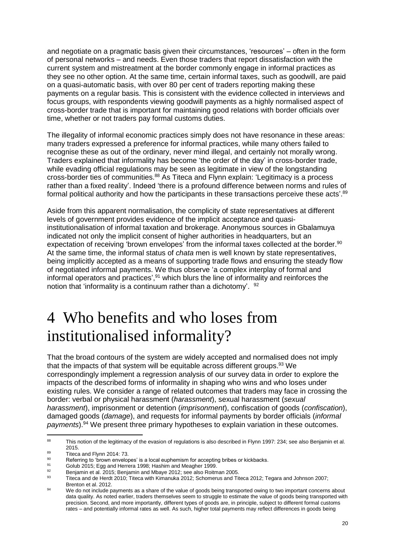and negotiate on a pragmatic basis given their circumstances, 'resources' – often in the form of personal networks – and needs. Even those traders that report dissatisfaction with the current system and mistreatment at the border commonly engage in informal practices as they see no other option. At the same time, certain informal taxes, such as goodwill, are paid on a quasi-automatic basis, with over 80 per cent of traders reporting making these payments on a regular basis. This is consistent with the evidence collected in interviews and focus groups, with respondents viewing goodwill payments as a highly normalised aspect of cross-border trade that is important for maintaining good relations with border officials over time, whether or not traders pay formal customs duties.

The illegality of informal economic practices simply does not have resonance in these areas: many traders expressed a preference for informal practices, while many others failed to recognise these as out of the ordinary, never mind illegal, and certainly not morally wrong. Traders explained that informality has become 'the order of the day' in cross-border trade, while evading official regulations may be seen as legitimate in view of the longstanding cross-border ties of communities. <sup>88</sup> As Titeca and Flynn explain: 'Legitimacy is a process rather than a fixed reality'. Indeed 'there is a profound difference between norms and rules of formal political authority and how the participants in these transactions perceive these acts'. 89

Aside from this apparent normalisation, the complicity of state representatives at different levels of government provides evidence of the implicit acceptance and quasiinstitutionalisation of informal taxation and brokerage. Anonymous sources in Gbalamuya indicated not only the implicit consent of higher authorities in headquarters, but an expectation of receiving 'brown envelopes' from the informal taxes collected at the border.<sup>90</sup> At the same time, the informal status of *chata* men is well known by state representatives, being implicitly accepted as a means of supporting trade flows and ensuring the steady flow of negotiated informal payments. We thus observe 'a complex interplay of formal and informal operators and practices',<sup>91</sup> which blurs the line of informality and reinforces the notion that 'informality is a continuum rather than a dichotomy'. <sup>92</sup>

# 4 Who benefits and who loses from institutionalised informality?

That the broad contours of the system are widely accepted and normalised does not imply that the impacts of that system will be equitable across different groups.<sup>93</sup> We correspondingly implement a regression analysis of our survey data in order to explore the impacts of the described forms of informality in shaping who wins and who loses under existing rules. We consider a range of related outcomes that traders may face in crossing the border: verbal or physical harassment (*harassment*), sexual harassment (*sexual harassment*), imprisonment or detention (*imprisonment*), confiscation of goods (*confiscation*), damaged goods (*damage*), and requests for informal payments by border officials (*informal payments*). <sup>94</sup> We present three primary hypotheses to explain variation in these outcomes.

91 Golub 2015; Egg and Herrera 1998; Hashim and Meagher 1999.<br>
Registration of all 2015; Registrational Meage 2012; see also Rejum

<sup>88</sup> This notion of the legitimacy of the evasion of regulations is also described in Flynn 1997: 234; see also Benjamin et al. 2015.

 $\frac{89}{90}$  Titeca and Flynn 2014: 73.

<sup>90</sup> Referring to 'brown envelopes' is a local euphemism for accepting bribes or kickbacks.<br>91 Celub 2015: Egg and Herrere 1009: Hephim and Meagher 1000.

<sup>&</sup>lt;sup>92</sup> Benjamin et al. 2015; Benjamin and Mbaye 2012; see also Roitman 2005.<br><sup>93</sup> Titeca and de Herdt 2010; Titeca with Kimanuka 2012; Schomerus and Tit

<sup>93</sup> Titeca and de Herdt 2010; Titeca with Kimanuka 2012; Schomerus and Titeca 2012; Tegara and Johnson 2007; Brenton et al. 2012.

<sup>&</sup>lt;sup>94</sup> We do not include payments as a share of the value of goods being transported owing to two important concerns about data quality. As noted earlier, traders themselves seem to struggle to estimate the value of goods being transported with precision. Second, and more importantly, different types of goods are, in principle, subject to different formal customs rates – and potentially informal rates as well. As such, higher total payments may reflect differences in goods being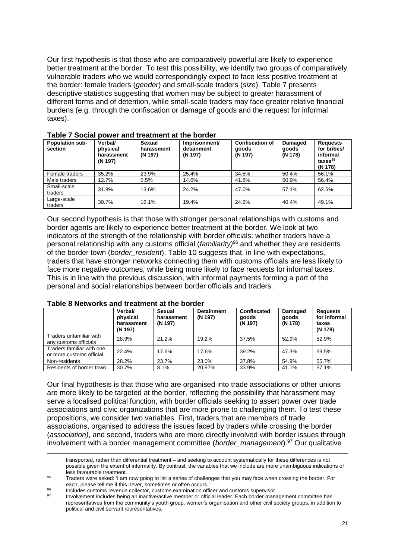Our first hypothesis is that those who are comparatively powerful are likely to experience better treatment at the border. To test this possibility, we identify two groups of comparatively vulnerable traders who we would correspondingly expect to face less positive treatment at the border: female traders (*gender*) and small-scale traders (*size*). Table 7 presents descriptive statistics suggesting that women may be subject to greater harassment of different forms and of detention, while small-scale traders may face greater relative financial burdens (e.g. through the confiscation or damage of goods and the request for informal taxes).

| Taple T Obbiai power and treatment at the border |                                              |                                 |                                        |                                            |                             |                                                                     |  |  |
|--------------------------------------------------|----------------------------------------------|---------------------------------|----------------------------------------|--------------------------------------------|-----------------------------|---------------------------------------------------------------------|--|--|
| <b>Population sub-</b><br>section                | Verbal/<br>physical<br>harassment<br>(N 197) | Sexual<br>harassment<br>(N 197) | Imprisonment/<br>detainment<br>(N 197) | <b>Confiscation of</b><br>goods<br>(N 197) | Damaged<br>goods<br>(N 178) | <b>Requests</b><br>for bribes/<br>informal<br>taxes $95$<br>(N 178) |  |  |
| Female traders                                   | 35.2%                                        | 23.9%                           | 25.4%                                  | 34.5%                                      | 50.4%                       | 56.1%                                                               |  |  |
| Male traders                                     | 12.7%                                        | 5.5%                            | 14.6%                                  | 41.8%                                      | 50.9%                       | 56.4%                                                               |  |  |
| Small-scale<br>traders                           | 31.8%                                        | 13.6%                           | 24.2%                                  | 47.0%                                      | 57.1%                       | 62.5%                                                               |  |  |
| Large-scale<br>traders                           | 30.7%                                        | 16.1%                           | 19.4%                                  | 24.2%                                      | 40.4%                       | 49.1%                                                               |  |  |

#### **Table 7 Social power and treatment at the border**

Our second hypothesis is that those with stronger personal relationships with customs and border agents are likely to experience better treatment at the border. We look at two indicators of the strength of the relationship with border officials: whether traders have a personal relationship with any customs official (*familiarity)*<sup>96</sup> and whether they are residents of the border town (*border\_resident*). Table 10 suggests that, in line with expectations, traders that have stronger networks connecting them with customs officials are less likely to face more negative outcomes, while being more likely to face requests for informal taxes. This is in line with the previous discussion, with informal payments forming a part of the personal and social relationships between border officials and traders.

| ו טוטוט ט וזטנזוטוונט טווט נו טענוווטוונ טנ נווט וטטו טטו |                                                     |                                 |                              |                                        |                             |                                                     |  |
|-----------------------------------------------------------|-----------------------------------------------------|---------------------------------|------------------------------|----------------------------------------|-----------------------------|-----------------------------------------------------|--|
|                                                           | <b>Verball</b><br>physical<br>harassment<br>(N 197) | Sexual<br>harassment<br>(N 197) | <b>Detainment</b><br>(N 197) | <b>Confiscated</b><br>goods<br>(N 197) | Damaged<br>goods<br>(N 178) | <b>Requests</b><br>for informal<br>taxes<br>(N 178) |  |
| Traders unfamiliar with<br>any customs officials          | 28.9%                                               | 21.2%                           | 19.2%                        | 37.5%                                  | 52.9%                       | 52.9%                                               |  |
| Traders familiar with one<br>or more customs official     | 22.4%                                               | 17.6%                           | 17.6%                        | 39.2%                                  | 47.3%                       | 59.5%                                               |  |
| Non-residents                                             | 28.2%                                               | 23.7%                           | 23.0%                        | 37.8%                                  | 54.9%                       | 55.7%                                               |  |
| Residents of border town                                  | 30.7%                                               | 8.1%                            | 20.97%                       | 33.9%                                  | 41.1%                       | 57.1%                                               |  |

#### **Table 8 Networks and treatment at the border**

 $\overline{a}$ 

Our final hypothesis is that those who are organised into trade associations or other unions are more likely to be targeted at the border, reflecting the possibility that harassment may serve a localised political function, with border officials seeking to assert power over trade associations and civic organizations that are more prone to challenging them. To test these propositions, we consider two variables. First, traders that are members of trade associations, organised to address the issues faced by traders while crossing the border (*association)*, and second, traders who are more directly involved with border issues through involvement with a border management committee (*border\_management*).<sup>97</sup> Our qualitative

transported, rather than differential treatment – and seeking to account systematically for these differences is not possible given the extent of informality. By contrast, the variables that we include are more unambiguous indications of less favourable treatment.

<sup>&</sup>lt;sup>95</sup> Traders were asked: 'I am now going to list a series of challenges that you may face when crossing the border. For each, please tell me if this never, sometimes or often occurs.'

<sup>&</sup>lt;sup>96</sup> Includes customs revenue collector, customs examination officer and customs supervisor.<br>Propose includes being an incretive/active member or official loader. Each berder many

Involvement includes being an inactive/active member or official leader. Each border management committee has representatives from the community's youth group, women's organisation and other civil society groups, in addition to political and civil servant representatives.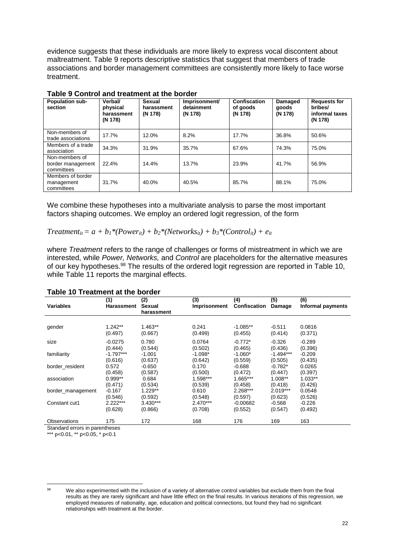evidence suggests that these individuals are more likely to express vocal discontent about maltreatment. Table 9 reports descriptive statistics that suggest that members of trade associations and border management committees are consistently more likely to face worse treatment.

| וטטוט ט טטוונוטו מווט נוטמנוווטוונ מג נווט טטו מטו |                                                     |                                 |                                        |                                     |                             |                                                             |
|----------------------------------------------------|-----------------------------------------------------|---------------------------------|----------------------------------------|-------------------------------------|-----------------------------|-------------------------------------------------------------|
| <b>Population sub-</b><br>section                  | <b>Verball</b><br>physical<br>harassment<br>(N 178) | Sexual<br>harassment<br>(N 178) | Imprisonment/<br>detainment<br>(N 178) | Confiscation<br>of goods<br>(N 178) | Damaged<br>goods<br>(N 178) | <b>Requests for</b><br>bribes/<br>informal taxes<br>(N 178) |
| Non-members of<br>trade associations               | 17.7%                                               | 12.0%                           | 8.2%                                   | 17.7%                               | 36.8%                       | 50.6%                                                       |
| Members of a trade<br>association                  | 34.3%                                               | 31.9%                           | 35.7%                                  | 67.6%                               | 74.3%                       | 75.0%                                                       |
| Non-members of<br>border management<br>committees  | 22.4%                                               | 14.4%                           | 13.7%                                  | 23.9%                               | 41.7%                       | 56.9%                                                       |
| Members of border<br>management<br>committees      | 31.7%                                               | 40.0%                           | 40.5%                                  | 85.7%                               | 88.1%                       | 75.0%                                                       |

#### **Table 9 Control and treatment at the border**

We combine these hypotheses into a multivariate analysis to parse the most important factors shaping outcomes. We employ an ordered logit regression, of the form

 $Treatment_{it} = a + b_1*(Power_{it}) + b_2*(Networks_{it}) + b_3*(Control_{it}) + e_{it}$ 

where *Treatment* refers to the range of challenges or forms of mistreatment in which we are interested, while *Power, Networks,* and *Control* are placeholders for the alternative measures of our key hypotheses.<sup>98</sup> The results of the ordered logit regression are reported in Table 10, while Table 11 reports the marginal effects.

| <b>Variables</b>  | (1)<br><b>Harassment</b> | (2)<br>Sexual<br>harassment | (3)<br>Imprisonment | (4)<br>Confiscation | (5)<br>Damage | (6)<br>Informal payments |
|-------------------|--------------------------|-----------------------------|---------------------|---------------------|---------------|--------------------------|
|                   |                          |                             |                     |                     |               |                          |
| gender            | $1.242**$                | $1.463**$                   | 0.241               | $-1.085**$          | $-0.511$      | 0.0816                   |
|                   | (0.497)                  | (0.667)                     | (0.499)             | (0.455)             | (0.414)       | (0.371)                  |
| size              | $-0.0275$                | 0.780                       | 0.0764              | $-0.772*$           | $-0.326$      | $-0.289$                 |
|                   | (0.444)                  | (0.544)                     | (0.502)             | (0.465)             | (0.436)       | (0.396)                  |
| familiarity       | $-1.797***$              | $-1.001$                    | $-1.098*$           | $-1.060*$           | $-1.494***$   | $-0.209$                 |
|                   | (0.616)                  | (0.637)                     | (0.642)             | (0.559)             | (0.505)       | (0.435)                  |
| border resident   | 0.572                    | $-0.650$                    | 0.170               | $-0.688$            | $-0.782*$     | 0.0265                   |
|                   | (0.458)                  | (0.587)                     | (0.500)             | (0.472)             | (0.447)       | (0.397)                  |
| association       | $0.999**$                | 0.684                       | 1.598***            | 1.665***            | 1.008**       | $1.033**$                |
|                   | (0.471)                  | (0.534)                     | (0.539)             | (0.458)             | (0.418)       | (0.426)                  |
| border management | $-0.167$                 | $1.229**$                   | 0.610               | 2.268***            | $2.019***$    | 0.0548                   |
|                   | (0.546)                  | (0.592)                     | (0.548)             | (0.597)             | (0.623)       | (0.526)                  |
| Constant cut1     | $2.222***$               | $3.430***$                  | $2.470***$          | $-0.00682$          | $-0.568$      | $-0.226$                 |
|                   | (0.628)                  | (0.866)                     | (0.708)             | (0.552)             | (0.547)       | (0.492)                  |
| Observations      | 175                      | 172                         | 168                 | 176                 | 169           | 163                      |

#### **Table 10 Treatment at the border**

Standard errors in parentheses

\*\*\* p<0.01, \*\* p<0.05, \* p<0.1

 $Q_{R}$ We also experimented with the inclusion of a variety of alternative control variables but exclude them from the final results as they are rarely significant and have little effect on the final results. In various iterations of this regression, we employed measures of nationality, age, education and political connections, but found they had no significant relationships with treatment at the border.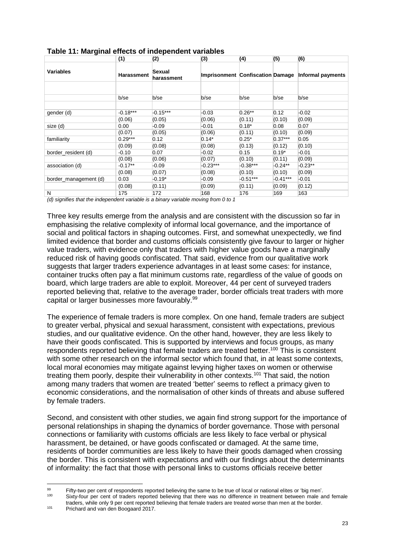| rapie TT. Marginar enects or maependent variables |                   |                      |            |            |            |                                                    |
|---------------------------------------------------|-------------------|----------------------|------------|------------|------------|----------------------------------------------------|
|                                                   | (1)               | (2)                  | (3)        | (4)        | (5)        | (6)                                                |
| <b>Variables</b>                                  | <b>Harassment</b> | Sexual<br>harassment |            |            |            | Imprisonment Confiscation Damage Informal payments |
|                                                   | b/se              | $b$ /se              | b/se       | b/se       | b/se       | b/se                                               |
|                                                   |                   |                      |            |            |            |                                                    |
| gender (d)                                        | $-0.18***$        | $-0.15***$           | $-0.03$    | $0.26***$  | 0.12       | $-0.02$                                            |
|                                                   | (0.06)            | (0.05)               | (0.06)     | (0.11)     | (0.10)     | (0.09)                                             |
| size (d)                                          | 0.00              | -0.09                | -0.01      | $0.18*$    | 0.08       | 0.07                                               |
|                                                   | (0.07)            | (0.05)               | (0.06)     | (0.11)     | (0.10)     | (0.09)                                             |
| familiarity                                       | $0.29***$         | 0.12                 | $0.14*$    | $0.25*$    | $0.37***$  | 0.05                                               |
|                                                   | (0.09)            | (0.08)               | (0.08)     | (0.13)     | (0.12)     | (0.10)                                             |
| border_resident (d)                               | $-0.10$           | 0.07                 | -0.02      | 0.15       | $0.19*$    | $-0.01$                                            |
|                                                   | (0.08)            | (0.06)               | (0.07)     | (0.10)     | (0.11)     | (0.09)                                             |
| association (d)                                   | $-0.17**$         | -0.09                | $-0.23***$ | $-0.38***$ | $-0.24**$  | $-0.23**$                                          |
|                                                   | (0.08)            | (0.07)               | (0.08)     | (0.10)     | (0.10)     | (0.09)                                             |
| border_management (d)                             | 0.03              | $-0.19*$             | -0.09      | $-0.51***$ | $-0.41***$ | $-0.01$                                            |
|                                                   | (0.08)            | (0.11)               | (0.09)     | (0.11)     | (0.09)     | (0.12)                                             |
| N                                                 | 175               | 172                  | 168        | 176        | 169        | 163                                                |

|  |  | Table 11: Marginal effects of independent variables |  |
|--|--|-----------------------------------------------------|--|
|--|--|-----------------------------------------------------|--|

*(d) signifies that the independent variable is a binary variable moving from 0 to 1*

Three key results emerge from the analysis and are consistent with the discussion so far in emphasising the relative complexity of informal local governance, and the importance of social and political factors in shaping outcomes. First, and somewhat unexpectedly, we find limited evidence that border and customs officials consistently give favour to larger or higher value traders, with evidence only that traders with higher value goods have a marginally reduced risk of having goods confiscated. That said, evidence from our qualitative work suggests that larger traders experience advantages in at least some cases: for instance, container trucks often pay a flat minimum customs rate, regardless of the value of goods on board, which large traders are able to exploit. Moreover, 44 per cent of surveyed traders reported believing that, relative to the average trader, border officials treat traders with more capital or larger businesses more favourably.<sup>99</sup>

The experience of female traders is more complex. On one hand, female traders are subject to greater verbal, physical and sexual harassment, consistent with expectations, previous studies, and our qualitative evidence. On the other hand, however, they are less likely to have their goods confiscated. This is supported by interviews and focus groups, as many respondents reported believing that female traders are treated better.<sup>100</sup> This is consistent with some other research on the informal sector which found that, in at least some contexts, local moral economies may mitigate against levying higher taxes on women or otherwise treating them poorly, despite their vulnerability in other contexts.<sup>101</sup> That said, the notion among many traders that women are treated 'better' seems to reflect a primacy given to economic considerations, and the normalisation of other kinds of threats and abuse suffered by female traders.

Second, and consistent with other studies, we again find strong support for the importance of personal relationships in shaping the dynamics of border governance. Those with personal connections or familiarity with customs officials are less likely to face verbal or physical harassment, be detained, or have goods confiscated or damaged. At the same time, residents of border communities are less likely to have their goods damaged when crossing the border. This is consistent with expectations and with our findings about the determinants of informality: the fact that those with personal links to customs officials receive better

Sixty-four per cent of traders reported believing that there was no difference in treatment between male and female traders, while only 9 per cent reported believing that female traders are treated worse than men at the border. <sup>101</sup> Prichard and van den Boogaard 2017.

 $\alpha$ <sup>99</sup> Fifty-two per cent of respondents reported believing the same to be true of local or national elites or 'big men'.<br><sup>100</sup> Sixty four per cent of traders reported believing that there were no difference in tradment betw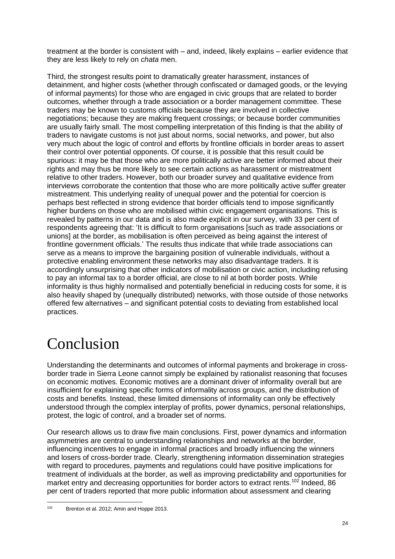treatment at the border is consistent with – and, indeed, likely explains – earlier evidence that they are less likely to rely on *chata* men.

Third, the strongest results point to dramatically greater harassment, instances of detainment, and higher costs (whether through confiscated or damaged goods, or the levying of informal payments) for those who are engaged in civic groups that are related to border outcomes, whether through a trade association or a border management committee. These traders may be known to customs officials because they are involved in collective negotiations; because they are making frequent crossings; or because border communities are usually fairly small. The most compelling interpretation of this finding is that the ability of traders to navigate customs is not just about norms, social networks, and power, but also very much about the logic of control and efforts by frontline officials in border areas to assert their control over potential opponents. Of course, it is possible that this result could be spurious: it may be that those who are more politically active are better informed about their rights and may thus be more likely to see certain actions as harassment or mistreatment relative to other traders. However, both our broader survey and qualitative evidence from interviews corroborate the contention that those who are more politically active suffer greater mistreatment. This underlying reality of unequal power and the potential for coercion is perhaps best reflected in strong evidence that border officials tend to impose significantly higher burdens on those who are mobilised within civic engagement organisations. This is revealed by patterns in our data and is also made explicit in our survey, with 33 per cent of respondents agreeing that: 'It is difficult to form organisations [such as trade associations or unions] at the border, as mobilisation is often perceived as being against the interest of frontline government officials.' The results thus indicate that while trade associations can serve as a means to improve the bargaining position of vulnerable individuals, without a protective enabling environment these networks may also disadvantage traders. It is accordingly unsurprising that other indicators of mobilisation or civic action, including refusing to pay an informal tax to a border official, are close to nil at both border posts. While informality is thus highly normalised and potentially beneficial in reducing costs for some, it is also heavily shaped by (unequally distributed) networks, with those outside of those networks offered few alternatives – and significant potential costs to deviating from established local practices.

# Conclusion

Understanding the determinants and outcomes of informal payments and brokerage in crossborder trade in Sierra Leone cannot simply be explained by rationalist reasoning that focuses on economic motives. Economic motives are a dominant driver of informality overall but are insufficient for explaining specific forms of informality across groups, and the distribution of costs and benefits. Instead, these limited dimensions of informality can only be effectively understood through the complex interplay of profits, power dynamics, personal relationships, protest, the logic of control, and a broader set of norms.

Our research allows us to draw five main conclusions. First, power dynamics and information asymmetries are central to understanding relationships and networks at the border, influencing incentives to engage in informal practices and broadly influencing the winners and losers of cross-border trade. Clearly, strengthening information dissemination strategies with regard to procedures, payments and regulations could have positive implications for treatment of individuals at the border, as well as improving predictability and opportunities for market entry and decreasing opportunities for border actors to extract rents.<sup>102</sup> Indeed, 86 per cent of traders reported that more public information about assessment and clearing

 $102$ Brenton et al. 2012; Amin and Hoppe 2013.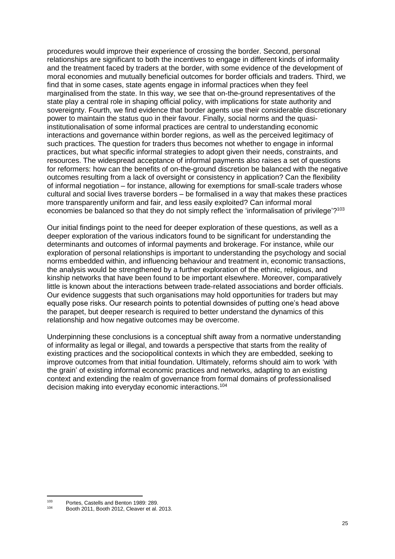procedures would improve their experience of crossing the border. Second, personal relationships are significant to both the incentives to engage in different kinds of informality and the treatment faced by traders at the border, with some evidence of the development of moral economies and mutually beneficial outcomes for border officials and traders. Third, we find that in some cases, state agents engage in informal practices when they feel marginalised from the state. In this way, we see that on-the-ground representatives of the state play a central role in shaping official policy, with implications for state authority and sovereignty. Fourth, we find evidence that border agents use their considerable discretionary power to maintain the status quo in their favour. Finally, social norms and the quasiinstitutionalisation of some informal practices are central to understanding economic interactions and governance within border regions, as well as the perceived legitimacy of such practices. The question for traders thus becomes not whether to engage in informal practices, but what specific informal strategies to adopt given their needs, constraints, and resources. The widespread acceptance of informal payments also raises a set of questions for reformers: how can the benefits of on-the-ground discretion be balanced with the negative outcomes resulting from a lack of oversight or consistency in application? Can the flexibility of informal negotiation – for instance, allowing for exemptions for small-scale traders whose cultural and social lives traverse borders – be formalised in a way that makes these practices more transparently uniform and fair, and less easily exploited? Can informal moral economies be balanced so that they do not simply reflect the 'informalisation of privilege'?<sup>103</sup>

Our initial findings point to the need for deeper exploration of these questions, as well as a deeper exploration of the various indicators found to be significant for understanding the determinants and outcomes of informal payments and brokerage. For instance, while our exploration of personal relationships is important to understanding the psychology and social norms embedded within, and influencing behaviour and treatment in, economic transactions, the analysis would be strengthened by a further exploration of the ethnic, religious, and kinship networks that have been found to be important elsewhere. Moreover, comparatively little is known about the interactions between trade-related associations and border officials. Our evidence suggests that such organisations may hold opportunities for traders but may equally pose risks. Our research points to potential downsides of putting one's head above the parapet, but deeper research is required to better understand the dynamics of this relationship and how negative outcomes may be overcome.

Underpinning these conclusions is a conceptual shift away from a normative understanding of informality as legal or illegal, and towards a perspective that starts from the reality of existing practices and the sociopolitical contexts in which they are embedded, seeking to improve outcomes from that initial foundation. Ultimately, reforms should aim to work 'with the grain' of existing informal economic practices and networks, adapting to an existing context and extending the realm of governance from formal domains of professionalised decision making into everyday economic interactions.<sup>104</sup>

<sup>103</sup> <sup>103</sup> Portes, Castells and Benton 1989: 289.

Booth 2011, Booth 2012, Cleaver et al. 2013.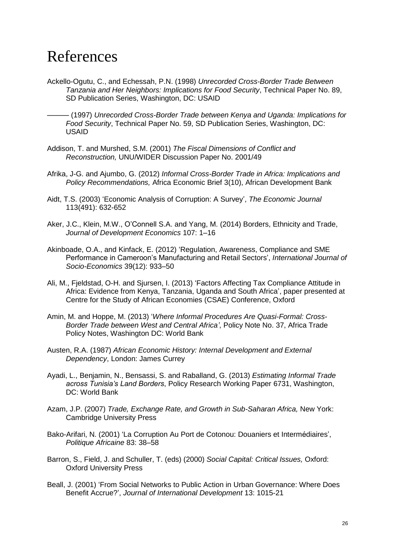### References

- Ackello-Ogutu, C., and Echessah, P.N. (1998) *Unrecorded Cross-Border Trade Between Tanzania and Her Neighbors: Implications for Food Security*, Technical Paper No. 89, SD Publication Series, Washington, DC: USAID
	- ——— (1997) *Unrecorded Cross-Border Trade between Kenya and Uganda: Implications for Food Security*, Technical Paper No. 59, SD Publication Series, Washington, DC: USAID
- Addison, T. and Murshed, S.M. (2001) *The Fiscal Dimensions of Conflict and Reconstruction,* UNU/WIDER Discussion Paper No. 2001/49
- Afrika, J-G. and Ajumbo, G. (2012) *Informal Cross-Border Trade in Africa: Implications and Policy Recommendations,* Africa Economic Brief 3(10), African Development Bank
- Aidt, T.S. (2003) 'Economic Analysis of Corruption: A Survey', *The Economic Journal* 113(491): 632-652
- Aker, J.C., Klein, M.W., O'Connell S.A. and Yang, M. (2014) Borders, Ethnicity and Trade, *Journal of Development Economics* 107: 1–16
- Akinboade, O.A., and Kinfack, E. (2012) 'Regulation, Awareness, Compliance and SME Performance in Cameroon's Manufacturing and Retail Sectors', *International Journal of Socio-Economics* 39(12): 933–50
- Ali, M., Fjeldstad, O-H. and Sjursen, I. (2013) 'Factors Affecting Tax Compliance Attitude in Africa: Evidence from Kenya, Tanzania, Uganda and South Africa', paper presented at Centre for the Study of African Economies (CSAE) Conference, Oxford
- Amin, M. and Hoppe, M. (2013) '*Where Informal Procedures Are Quasi-Formal: Cross-Border Trade between West and Central Africa'*, Policy Note No. 37, Africa Trade Policy Notes, Washington DC: World Bank
- Austen, R.A. (1987) *African Economic History: Internal Development and External Dependency*, London: James Currey
- Ayadi, L., Benjamin, N., Bensassi, S. and Raballand, G. (2013) *Estimating Informal Trade across Tunisia's Land Borders*, Policy Research Working Paper 6731, Washington, DC: World Bank
- Azam, J.P. (2007) *Trade, Exchange Rate, and Growth in Sub-Saharan Africa,* New York: Cambridge University Press
- Bako-Arifari, N. (2001) 'La Corruption Au Port de Cotonou: Douaniers et Intermédiaires', *Politique Africaine* 83: 38–58
- Barron, S., Field, J. and Schuller, T. (eds) (2000) *Social Capital: Critical Issues,* Oxford: Oxford University Press
- Beall, J. (2001) 'From Social Networks to Public Action in Urban Governance: Where Does Benefit Accrue?', *Journal of International Development* 13: 1015-21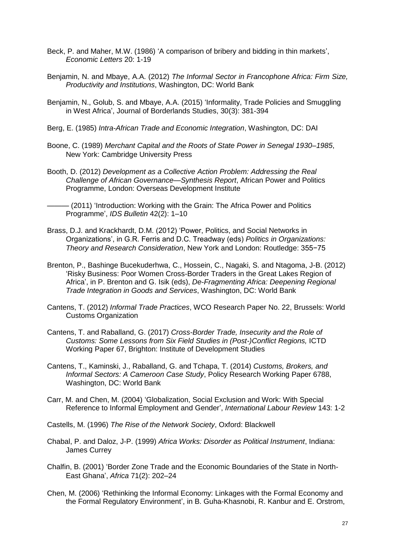- Beck, P. and Maher, M.W. (1986) 'A comparison of bribery and bidding in thin markets', *Economic Letters* 20: 1-19
- Benjamin, N. and Mbaye, A.A. (2012) *The Informal Sector in Francophone Africa: Firm Size, Productivity and Institutions*, Washington, DC: World Bank
- Benjamin, N., Golub, S. and Mbaye, A.A. (2015) 'Informality, Trade Policies and Smuggling in West Africa', Journal of Borderlands Studies, 30(3): 381-394
- Berg, E. (1985) *Intra-African Trade and Economic Integration*, Washington, DC: DAI
- Boone, C. (1989) *Merchant Capital and the Roots of State Power in Senegal 1930–1985*, New York: Cambridge University Press
- Booth, D. (2012) *Development as a Collective Action Problem: Addressing the Real Challenge of African Governance—Synthesis Report*, African Power and Politics Programme, London: Overseas Development Institute
	- (2011) 'Introduction: Working with the Grain: The Africa Power and Politics Programme', *IDS Bulletin* 42(2): 1–10
- Brass, D.J. and Krackhardt, D.M. (2012) 'Power, Politics, and Social Networks in Organizations', in G.R. Ferris and D.C. Treadway (eds) *Politics in Organizations: Theory and Research Consideration*, New York and London: Routledge: 355−75
- Brenton, P., Bashinge Bucekuderhwa, C., Hossein, C., Nagaki, S. and Ntagoma, J-B. (2012) 'Risky Business: Poor Women Cross-Border Traders in the Great Lakes Region of Africa', in P. Brenton and G. Isik (eds), *De-Fragmenting Africa: Deepening Regional Trade Integration in Goods and Services*, Washington, DC: World Bank
- Cantens, T. (2012) *Informal Trade Practices*, WCO Research Paper No. 22, Brussels: World Customs Organization
- Cantens, T. and Raballand, G. (2017) *Cross-Border Trade, Insecurity and the Role of Customs: Some Lessons from Six Field Studies in (Post-)Conflict Regions,* ICTD Working Paper 67, Brighton: Institute of Development Studies
- Cantens, T., Kaminski, J., Raballand, G. and Tchapa, T. (2014) *Customs, Brokers, and Informal Sectors: A Cameroon Case Study*, Policy Research Working Paper 6788, Washington, DC: World Bank
- Carr, M. and Chen, M. (2004) 'Globalization, Social Exclusion and Work: With Special Reference to Informal Employment and Gender', *International Labour Review* 143: 1-2
- Castells, M. (1996) *The Rise of the Network Society*, Oxford: Blackwell
- Chabal, P. and Daloz, J-P. (1999) *Africa Works: Disorder as Political Instrument*, Indiana: James Currey
- Chalfin, B. (2001) 'Border Zone Trade and the Economic Boundaries of the State in North-East Ghana', *Africa* 71(2): 202–24
- Chen, M. (2006) 'Rethinking the Informal Economy: Linkages with the Formal Economy and the Formal Regulatory Environment', in B. Guha-Khasnobi, R. Kanbur and E. Orstrom,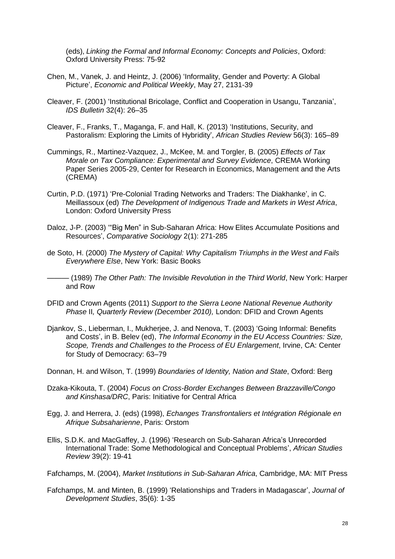(eds), *Linking the Formal and Informal Economy: Concepts and Policies*, Oxford: Oxford University Press: 75-92

- Chen, M., Vanek, J. and Heintz, J. (2006) 'Informality, Gender and Poverty: A Global Picture', *Economic and Political Weekly*, May 27, 2131-39
- Cleaver, F. (2001) 'Institutional Bricolage, Conflict and Cooperation in Usangu, Tanzania', *IDS Bulletin* 32(4): 26–35
- Cleaver, F., Franks, T., Maganga, F. and Hall, K. (2013) 'Institutions, Security, and Pastoralism: Exploring the Limits of Hybridity', *African Studies Review* 56(3): 165–89
- Cummings, R., Martinez-Vazquez, J., McKee, M. and Torgler, B. (2005) *Effects of Tax Morale on Tax Compliance: Experimental and Survey Evidence*, CREMA Working Paper Series 2005-29, Center for Research in Economics, Management and the Arts (CREMA)
- Curtin, P.D. (1971) 'Pre-Colonial Trading Networks and Traders: The Diakhanke', in C. Meillassoux (ed) *The Development of Indigenous Trade and Markets in West Africa*, London: Oxford University Press
- Daloz, J-P. (2003) '"Big Men" in Sub-Saharan Africa: How Elites Accumulate Positions and Resources', *Comparative Sociology* 2(1): 271-285
- de Soto, H. (2000) *The Mystery of Capital: Why Capitalism Triumphs in the West and Fails Everywhere Else*, New York: Basic Books
- ——— (1989) *The Other Path: The Invisible Revolution in the Third World*, New York: Harper and Row
- DFID and Crown Agents (2011) *Support to the Sierra Leone National Revenue Authority Phase* II*, Quarterly Review (December 2010),* London: DFID and Crown Agents
- Djankov, S., Lieberman, I., Mukherjee, J. and Nenova, T. (2003) 'Going Informal: Benefits and Costs', in B. Belev (ed), *The Informal Economy in the EU Access Countries: Size, Scope, Trends and Challenges to the Process of EU Enlargement*, Irvine, CA: Center for Study of Democracy: 63–79

Donnan, H. and Wilson, T. (1999) *Boundaries of Identity, Nation and State*, Oxford: Berg

- Dzaka-Kikouta, T. (2004) *Focus on Cross-Border Exchanges Between Brazzaville/Congo and Kinshasa/DRC*, Paris: Initiative for Central Africa
- Egg, J. and Herrera, J. (eds) (1998), *Echanges Transfrontaliers et Intégration Régionale en Afrique Subsaharienne*, Paris: Orstom
- Ellis, S.D.K. and MacGaffey, J. (1996) 'Research on Sub-Saharan Africa's Unrecorded International Trade: Some Methodological and Conceptual Problems', *African Studies Review* 39(2): 19-41

Fafchamps, M. (2004), *Market Institutions in Sub-Saharan Africa*, Cambridge, MA: MIT Press

Fafchamps, M. and Minten, B. (1999) 'Relationships and Traders in Madagascar', *Journal of Development Studies*, 35(6): 1-35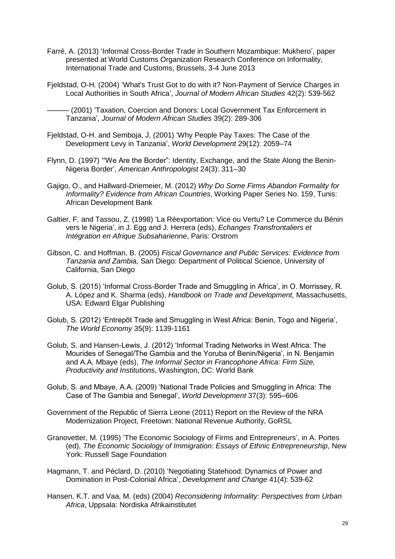- Farré, A. (2013) 'Informal Cross-Border Trade in Southern Mozambique: Mukhero', paper presented at World Customs Organization Research Conference on Informality, International Trade and Customs, Brussels, 3-4 June 2013
- Fjeldstad, O-H. (2004) 'What's Trust Got to do with it? Non-Payment of Service Charges in Local Authorities in South Africa', *Journal of Modern African Studies* 42(2): 539-562

——— (2001) 'Taxation, Coercion and Donors: Local Government Tax Enforcement in Tanzania', *Journal of Modern African Studies* 39(2): 289-306

- Fjeldstad, O-H. and Semboja, J. (2001) 'Why People Pay Taxes: The Case of the Development Levy in Tanzania', *World Development* 29(12): 2059–74
- Flynn, D. (1997) '"We Are the Border": Identity, Exchange, and the State Along the Benin-Nigeria Border', *American Anthropologist* 24(3): 311–30
- Gajigo, O., and Hallward-Driemeier, M. (2012) *Why Do Some Firms Abandon Formality for Informality? Evidence from African Countries*, Working Paper Series No. 159, Tunis: African Development Bank
- Galtier, F. and Tassou, Z. (1998) 'La Réexportation: Vice ou Vertu? Le Commerce du Bénin vers le Nigeria', in J. Egg and J. Herrera (eds), *Echanges Transfrontaliers et Intégration en Afrique Subsaharienne*, Paris: Orstrom
- Gibson, C. and Hoffman, B. (2005) *Fiscal Governance and Public Services: Evidence from Tanzania and Zambia,* San Diego: Department of Political Science, University of California, San Diego
- Golub, S. (2015) 'Informal Cross-Border Trade and Smuggling in Africa', in O. Morrissey, R. A. López and K. Sharma (eds), *Handbook on Trade and Development,* Massachusetts, USA: Edward Elgar Publishing
- Golub, S. (2012) 'Entrepôt Trade and Smuggling in West Africa: Benin, Togo and Nigeria', *The World Economy* 35(9): 1139-1161
- Golub, S. and Hansen-Lewis, J. (2012) 'Informal Trading Networks in West Africa: The Mourides of Senegal/The Gambia and the Yoruba of Benin/Nigeria', in N. Benjamin and A.A. Mbaye (eds), *The Informal Sector in Francophone Africa: Firm Size, Productivity and Institutions*, Washington, DC: World Bank
- Golub, S. and Mbaye, A.A. (2009) 'National Trade Policies and Smuggling in Africa: The Case of The Gambia and Senegal', *World Development* 37(3): 595–606
- Government of the Republic of Sierra Leone (2011) Report on the Review of the NRA Modernization Project, Freetown: National Revenue Authority, GoRSL
- Granovetter, M. (1995) 'The Economic Sociology of Firms and Entrepreneurs', in A. Portes (ed), *The Economic Sociology of Immigration: Essays of Ethnic Entrepreneurship*, New York: Russell Sage Foundation
- Hagmann, T. and Péclard, D. (2010) 'Negotiating Statehood: Dynamics of Power and Domination in Post-Colonial Africa', *Development and Change* 41(4): 539-62
- Hansen, K.T. and Vaa, M. (eds) (2004) *Reconsidering Informality: Perspectives from Urban Africa*, Uppsala: Nordiska Afrikainstitutet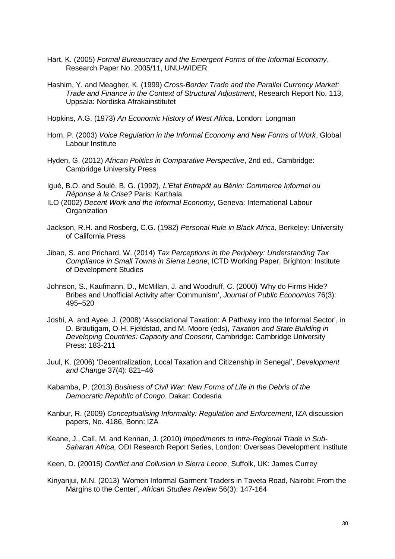- Hart, K. (2005) *Formal Bureaucracy and the Emergent Forms of the Informal Economy*, Research Paper No. 2005/11, UNU-WIDER
- Hashim, Y. and Meagher, K. (1999) *Cross-Border Trade and the Parallel Currency Market: Trade and Finance in the Context of Structural Adjustment*, Research Report No. 113, Uppsala: Nordiska Afrakainstitutet

Hopkins, A.G. (1973) *An Economic History of West Africa,* London: Longman

- Horn, P. (2003) *Voice Regulation in the Informal Economy and New Forms of Work*, Global Labour Institute
- Hyden, G. (2012) *African Politics in Comparative Perspective*, 2nd ed., Cambridge: Cambridge University Press
- Igué, B.O. and Soulé, B. G. (1992), *L'Etat Entrepôt au Bénin: Commerce Informel ou Réponse à la Crise?* Paris: Karthala
- ILO (2002) *Decent Work and the Informal Economy*, Geneva: International Labour **Organization**
- Jackson, R.H. and Rosberg, C.G. (1982) *Personal Rule in Black Africa*, Berkeley: University of California Press
- Jibao, S. and Prichard, W. (2014) *Tax Perceptions in the Periphery: Understanding Tax Compliance in Small Towns in Sierra Leone*, ICTD Working Paper, Brighton: Institute of Development Studies
- Johnson, S., Kaufmann, D., McMillan, J. and Woodruff, C. (2000) 'Why do Firms Hide? Bribes and Unofficial Activity after Communism', *Journal of Public Economics* 76(3): 495–520
- Joshi, A. and Ayee, J. (2008) 'Associational Taxation: A Pathway into the Informal Sector', in D. Bräutigam, O-H. Fjeldstad, and M. Moore (eds), *Taxation and State Building in Developing Countries: Capacity and Consent*, Cambridge: Cambridge University Press: 183-211
- Juul, K. (2006) 'Decentralization, Local Taxation and Citizenship in Senegal', *Development and Change* 37(4): 821–46
- Kabamba, P. (2013) *Business of Civil War: New Forms of Life in the Debris of the Democratic Republic of Congo*, Dakar: Codesria
- Kanbur, R. (2009) *Conceptualising Informality: Regulation and Enforcement*, IZA discussion papers, No. 4186, Bonn: IZA
- Keane, J., Calì, M. and Kennan, J. (2010) *Impediments to Intra-Regional Trade in Sub-Saharan Africa,* ODI Research Report Series, London: Overseas Development Institute
- Keen, D. (20015) *Conflict and Collusion in Sierra Leone*, Suffolk, UK: James Currey
- Kinyanjui, M.N. (2013) 'Women Informal Garment Traders in Taveta Road, Nairobi: From the Margins to the Center', *African Studies Review* 56(3): 147-164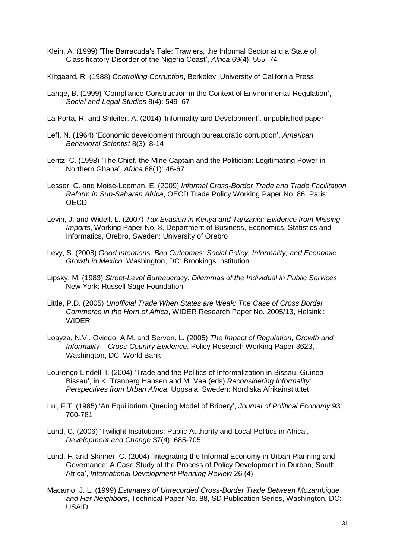- Klein, A. (1999) 'The Barracuda's Tale: Trawlers, the Informal Sector and a State of Classificatory Disorder of the Nigeria Coast', *Africa* 69(4): 555–74
- Klitgaard, R. (1988) *Controlling Corruption*, Berkeley: University of California Press
- Lange, B. (1999) 'Compliance Construction in the Context of Environmental Regulation', *Social and Legal Studies* 8(4): 549–67
- La Porta, R. and Shleifer, A. (2014) 'Informality and Development', unpublished paper
- Leff, N. (1964) 'Economic development through bureaucratic corruption', *American Behavioral Scientist* 8(3): 8-14
- Lentz, C. (1998) 'The Chief, the Mine Captain and the Politician: Legitimating Power in Northern Ghana', *Africa* 68(1): 46-67
- Lesser, C. and Moisé-Leeman, E. (2009) *Informal Cross-Border Trade and Trade Facilitation Reform in Sub-Saharan Africa*, OECD Trade Policy Working Paper No. 86, Paris: **OECD**
- Levin, J. and Widell, L. (2007) *Tax Evasion in Kenya and Tanzania: Evidence from Missing Imports*, Working Paper No. 8, Department of Business, Economics, Statistics and Informatics, Orebro, Sweden: University of Orebro
- Levy, S. (2008) *Good Intentions, Bad Outcomes: Social Policy, Informality, and Economic Growth in Mexico,* Washington, DC: Brookings Institution
- Lipsky, M. (1983) *Street-Level Bureaucracy: Dilemmas of the Individual in Public Services*, New York: Russell Sage Foundation
- Little, P.D. (2005) *Unofficial Trade When States are Weak: The Case of Cross Border Commerce in the Horn of Africa*, WIDER Research Paper No. 2005/13, Helsinki: **WIDER**
- Loayza, N.V., Oviedo, A.M. and Serven, L. (2005) *The Impact of Regulation, Growth and Informality – Cross-Country Evidence*, Policy Research Working Paper 3623, Washington, DC: World Bank
- Lourenço-Lindell, I. (2004) 'Trade and the Politics of Informalization in Bissau, Guinea-Bissau', in K. Tranberg Hansen and M. Vaa (eds) *Reconsidering Informality: Perspectives from Urban Africa*, Uppsala, Sweden: Nordiska Afrikainstitutet
- Lui, F.T. (1985) 'An Equilibrium Queuing Model of Bribery', *Journal of Political Economy* 93: 760-781
- Lund, C. (2006) 'Twilight Institutions: Public Authority and Local Politics in Africa', *Development and Change* 37(4): 685-705
- Lund, F. and Skinner, C. (2004) 'Integrating the Informal Economy in Urban Planning and Governance: A Case Study of the Process of Policy Development in Durban, South Africa', *International Development Planning Review* 26 (4)
- Macamo, J. L. (1999) *Estimates of Unrecorded Cross-Border Trade Between Mozambique and Her Neighbors*, Technical Paper No. 88, SD Publication Series, Washington, DC: USAID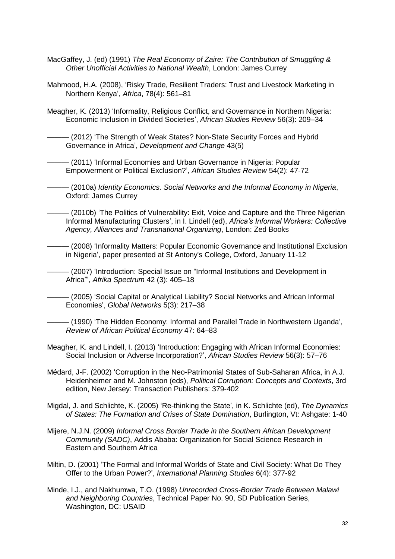- MacGaffey, J. (ed) (1991) *The Real Economy of Zaire: The Contribution of Smuggling & Other Unofficial Activities to National Wealth*, London: James Currey
- Mahmood, H.A. (2008), 'Risky Trade, Resilient Traders: Trust and Livestock Marketing in Northern Kenya', *Africa*, 78(4): 561–81
- Meagher, K. (2013) 'Informality, Religious Conflict, and Governance in Northern Nigeria: Economic Inclusion in Divided Societies', *African Studies Review* 56(3): 209–34

– (2012) 'The Strength of Weak States? Non-State Security Forces and Hybrid Governance in Africa', *Development and Change* 43(5)

– (2011) 'Informal Economies and Urban Governance in Nigeria: Popular Empowerment or Political Exclusion?', *African Studies Review* 54(2): 47-72

——— (2010a) *Identity Economics. Social Networks and the Informal Economy in Nigeria*, Oxford: James Currey

– (2010b) 'The Politics of Vulnerability: Exit, Voice and Capture and the Three Nigerian Informal Manufacturing Clusters', in I. Lindell (ed), *Africa's Informal Workers: Collective Agency, Alliances and Transnational Organizing*, London: Zed Books

——— (2008) 'Informality Matters: Popular Economic Governance and Institutional Exclusion in Nigeria', paper presented at St Antony's College, Oxford, January 11-12

——— (2007) 'Introduction: Special Issue on "Informal Institutions and Development in Africa"', *Afrika Spectrum* 42 (3): 405–18

——— (2005) 'Social Capital or Analytical Liability? Social Networks and African Informal Economies', *Global Networks* 5(3): 217–38

——— (1990) 'The Hidden Economy: Informal and Parallel Trade in Northwestern Uganda', *Review of African Political Economy* 47: 64–83

Meagher, K. and Lindell, I. (2013) 'Introduction: Engaging with African Informal Economies: Social Inclusion or Adverse Incorporation?', *African Studies Review* 56(3): 57–76

Médard, J-F. (2002) 'Corruption in the Neo-Patrimonial States of Sub-Saharan Africa, in A.J. Heidenheimer and M. Johnston (eds), *Political Corruption: Concepts and Contexts*, 3rd edition, New Jersey: Transaction Publishers: 379-402

Migdal, J. and Schlichte, K. (2005) 'Re-thinking the State', in K. Schlichte (ed), *The Dynamics of States: The Formation and Crises of State Domination*, Burlington, Vt: Ashgate: 1-40

Mijere, N.J.N. (2009) *Informal Cross Border Trade in the Southern African Development Community (SADC)*, Addis Ababa: Organization for Social Science Research in Eastern and Southern Africa

Miltin, D. (2001) 'The Formal and Informal Worlds of State and Civil Society: What Do They Offer to the Urban Power?', *International Planning Studies* 6(4): 377-92

Minde, I.J., and Nakhumwa, T.O. (1998) *Unrecorded Cross-Border Trade Between Malawi and Neighboring Countries*, Technical Paper No. 90, SD Publication Series, Washington, DC: USAID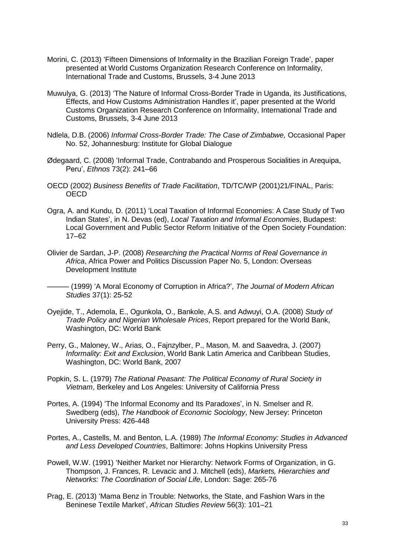- Morini, C. (2013) 'Fifteen Dimensions of Informality in the Brazilian Foreign Trade', paper presented at World Customs Organization Research Conference on Informality, International Trade and Customs, Brussels, 3-4 June 2013
- Muwulya, G. (2013) 'The Nature of Informal Cross-Border Trade in Uganda, its Justifications, Effects, and How Customs Administration Handles it', paper presented at the World Customs Organization Research Conference on Informality, International Trade and Customs, Brussels, 3-4 June 2013
- Ndlela, D.B. (2006) *Informal Cross-Border Trade: The Case of Zimbabwe,* Occasional Paper No. 52, Johannesburg: Institute for Global Dialogue
- Ødegaard, C. (2008) 'Informal Trade, Contrabando and Prosperous Socialities in Arequipa, Peru', *Ethnos* 73(2): 241–66
- OECD (2002) *Business Benefits of Trade Facilitation*, TD/TC/WP (2001)21/FINAL, Paris: OECD
- Ogra, A. and Kundu, D. (2011) 'Local Taxation of Informal Economies: A Case Study of Two Indian States', in N. Devas (ed), *Local Taxation and Informal Economies*, Budapest: Local Government and Public Sector Reform Initiative of the Open Society Foundation: 17–62
- Olivier de Sardan, J-P. (2008) *Researching the Practical Norms of Real Governance in Africa*, Africa Power and Politics Discussion Paper No. 5, London: Overseas Development Institute

——— (1999) 'A Moral Economy of Corruption in Africa?', *The Journal of Modern African Studies* 37(1): 25-52

- Oyejide, T., Ademola, E., Ogunkola, O., Bankole, A.S. and Adwuyi, O.A. (2008) *Study of Trade Policy and Nigerian Wholesale Prices*, Report prepared for the World Bank, Washington, DC: World Bank
- Perry, G., Maloney, W., Arias, O., Fajnzylber, P., Mason, M. and Saavedra, J. (2007) *Informality: Exit and Exclusion*, World Bank Latin America and Caribbean Studies, Washington, DC: World Bank, 2007
- Popkin, S. L. (1979) *The Rational Peasant: The Political Economy of Rural Society in Vietnam*, Berkeley and Los Angeles: University of California Press
- Portes, A. (1994) 'The Informal Economy and Its Paradoxes', in N. Smelser and R. Swedberg (eds), *The Handbook of Economic Sociology*, New Jersey: Princeton University Press: 426-448
- Portes, A., Castells, M. and Benton, L.A. (1989) *The Informal Economy: Studies in Advanced and Less Developed Countries*, Baltimore: Johns Hopkins University Press
- Powell, W.W. (1991) 'Neither Market nor Hierarchy: Network Forms of Organization, in G. Thompson, J. Frances, R. Levacic and J. Mitchell (eds), *Markets, Hierarchies and Networks: The Coordination of Social Life*, London: Sage: 265-76
- Prag, E. (2013) 'Mama Benz in Trouble: Networks, the State, and Fashion Wars in the Beninese Textile Market', *African Studies Review* 56(3): 101–21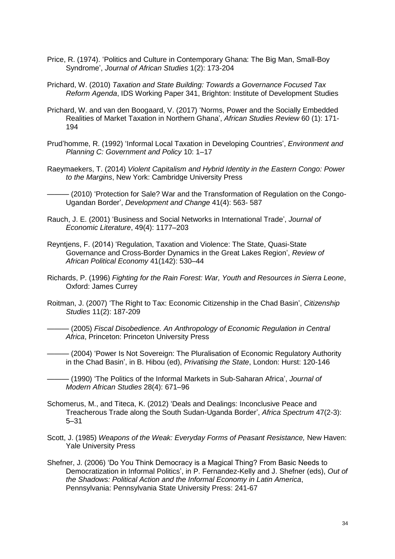- Price, R. (1974). 'Politics and Culture in Contemporary Ghana: The Big Man, Small-Boy Syndrome', *Journal of African Studies* 1(2): 173-204
- Prichard, W. (2010) *Taxation and State Building: Towards a Governance Focused Tax Reform Agenda*, IDS Working Paper 341, Brighton: Institute of Development Studies
- Prichard, W. and van den Boogaard, V. (2017) 'Norms, Power and the Socially Embedded Realities of Market Taxation in Northern Ghana', *African Studies Review* 60 (1): 171- 194
- Prud'homme, R. (1992) 'Informal Local Taxation in Developing Countries', *Environment and Planning C: Government and Policy* 10: 1–17
- Raeymaekers, T. (2014) *Violent Capitalism and Hybrid Identity in the Eastern Congo: Power to the Margins*, New York: Cambridge University Press

– (2010) 'Protection for Sale? War and the Transformation of Regulation on the Congo-Ugandan Border', *Development and Change* 41(4): 563- 587

- Rauch, J. E. (2001) 'Business and Social Networks in International Trade', *Journal of Economic Literature*, 49(4): 1177–203
- Reyntjens, F. (2014) 'Regulation, Taxation and Violence: The State, Quasi-State Governance and Cross-Border Dynamics in the Great Lakes Region', *Review of African Political Economy* 41(142): 530–44
- Richards, P. (1996) *Fighting for the Rain Forest: War, Youth and Resources in Sierra Leone*, Oxford: James Currey
- Roitman, J. (2007) 'The Right to Tax: Economic Citizenship in the Chad Basin', *Citizenship Studies* 11(2): 187-209

——— (2005) *Fiscal Disobedience. An Anthropology of Economic Regulation in Central Africa*, Princeton: Princeton University Press

– (2004) 'Power Is Not Sovereign: The Pluralisation of Economic Regulatory Authority in the Chad Basin', in B. Hibou (ed), *Privatising the State*, London: Hurst: 120-146

——— (1990) 'The Politics of the Informal Markets in Sub-Saharan Africa', *Journal of Modern African Studies* 28(4): 671–96

- Schomerus, M., and Titeca, K. (2012) 'Deals and Dealings: Inconclusive Peace and Treacherous Trade along the South Sudan-Uganda Border', *Africa Spectrum* 47(2-3): 5–31
- Scott, J. (1985) *Weapons of the Weak: Everyday Forms of Peasant Resistance,* New Haven: Yale University Press
- Shefner, J. (2006) 'Do You Think Democracy is a Magical Thing? From Basic Needs to Democratization in Informal Politics', in P. Fernandez-Kelly and J. Shefner (eds), *Out of the Shadows: Political Action and the Informal Economy in Latin America*, Pennsylvania: Pennsylvania State University Press: 241-67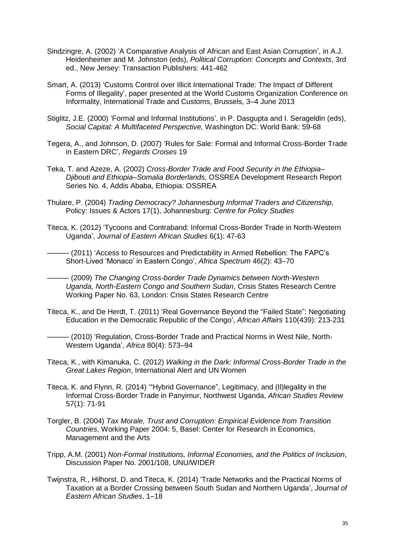- Sindzingre, A. (2002) 'A Comparative Analysis of African and East Asian Corruption', in A.J. Heidenheimer and M. Johnston (eds), *Political Corruption: Concepts and Contexts*, 3rd ed., New Jersey: Transaction Publishers: 441-462
- Smart, A. (2013) 'Customs Control over Illicit International Trade: The Impact of Different Forms of Illegality', paper presented at the World Customs Organization Conference on Informality, International Trade and Customs, Brussels, 3–4 June 2013
- Stiglitz, J.E. (2000) 'Formal and Informal Institutions', in P. Dasgupta and I. Serageldin (eds), *Social Capital: A Multifaceted Perspective,* Washington DC: World Bank: 59-68
- Tegera, A., and Johnson, D. (2007) 'Rules for Sale: Formal and Informal Cross-Border Trade in Eastern DRC', *Regards Croises* 19
- Teka, T. and Azeze, A. (2002) *Cross-Border Trade and Food Security in the Ethiopia– Djibouti and Ethiopia–Somalia Borderlands,* OSSREA Development Research Report Series No. 4, Addis Ababa, Ethiopia: OSSREA
- Thulare, P. (2004) *Trading Democracy? Johannesburg Informal Traders and Citizenship*, Policy: Issues & Actors 17(1), Johannesburg: *Centre for Policy Studies*
- Titeca, K. (2012) 'Tycoons and Contraband: Informal Cross-Border Trade in North-Western Uganda', *Journal of Eastern African Studies* 6(1): 47-63

——— (2011) 'Access to Resources and Predictability in Armed Rebellion: The FAPC's Short-Lived 'Monaco' in Eastern Congo', *Africa Spectrum* 46(2): 43–70

 $-$  (2009) The Changing Cross-border Trade Dynamics between North-Western *Uganda, North-Eastern Congo and Southern Sudan*, Crisis States Research Centre Working Paper No. 63, London: Crisis States Research Centre

- Titeca, K., and De Herdt, T. (2011) 'Real Governance Beyond the "Failed State": Negotiating Education in the Democratic Republic of the Congo', *African Affairs* 110(439): 213-231
	- (2010) 'Regulation, Cross-Border Trade and Practical Norms in West Nile, North-Western Uganda', *Africa* 80(4): 573–94
- Titeca, K., with Kimanuka, C. (2012) *Walking in the Dark: Informal Cross-Border Trade in the Great Lakes Region*, International Alert and UN Women
- Titeca, K. and Flynn, R. (2014) '"Hybrid Governance", Legitimacy, and (Il)legality in the Informal Cross-Border Trade in Panyimur, Northwest Uganda, *African Studies Review* 57(1): 71-91
- Torgler, B. (2004) *Tax Morale, Trust and Corruption: Empirical Evidence from Transition Countries*, Working Paper 2004: 5, Basel: Center for Research in Economics, Management and the Arts
- Tripp, A.M. (2001) *Non-Formal Institutions, Informal Economies, and the Politics of Inclusion*, Discussion Paper No. 2001/108, UNU/WIDER
- Twijnstra, R., Hilhorst, D. and Titeca, K. (2014) 'Trade Networks and the Practical Norms of Taxation at a Border Crossing between South Sudan and Northern Uganda', *Journal of Eastern African Studies*, 1–18